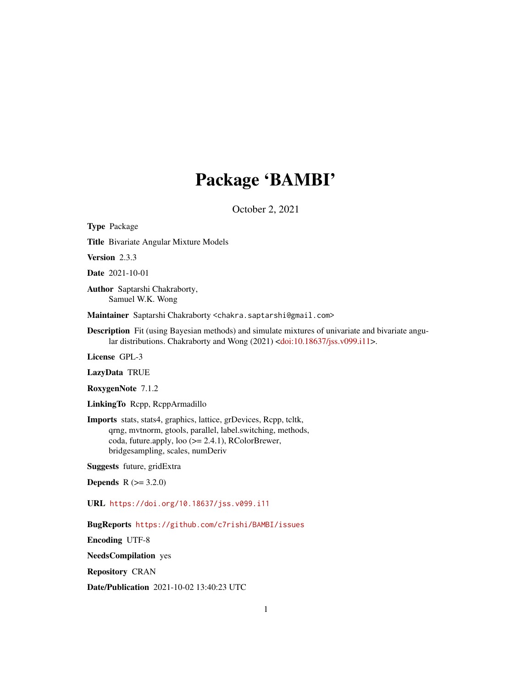## Package 'BAMBI'

October 2, 2021

<span id="page-0-0"></span>Type Package Title Bivariate Angular Mixture Models Version 2.3.3 Date 2021-10-01 Author Saptarshi Chakraborty, Samuel W.K. Wong Maintainer Saptarshi Chakraborty <chakra.saptarshi@gmail.com> Description Fit (using Bayesian methods) and simulate mixtures of univariate and bivariate angu-lar distributions. Chakraborty and Wong (2021) [<doi:10.18637/jss.v099.i11>](https://doi.org/10.18637/jss.v099.i11). License GPL-3 LazyData TRUE RoxygenNote 7.1.2 LinkingTo Rcpp, RcppArmadillo Imports stats, stats4, graphics, lattice, grDevices, Rcpp, tcltk, qrng, mvtnorm, gtools, parallel, label.switching, methods, coda, future.apply, loo (>= 2.4.1), RColorBrewer, bridgesampling, scales, numDeriv Suggests future, gridExtra **Depends** R  $(>= 3.2.0)$ URL <https://doi.org/10.18637/jss.v099.i11> BugReports <https://github.com/c7rishi/BAMBI/issues> Encoding UTF-8

NeedsCompilation yes

Repository CRAN

Date/Publication 2021-10-02 13:40:23 UTC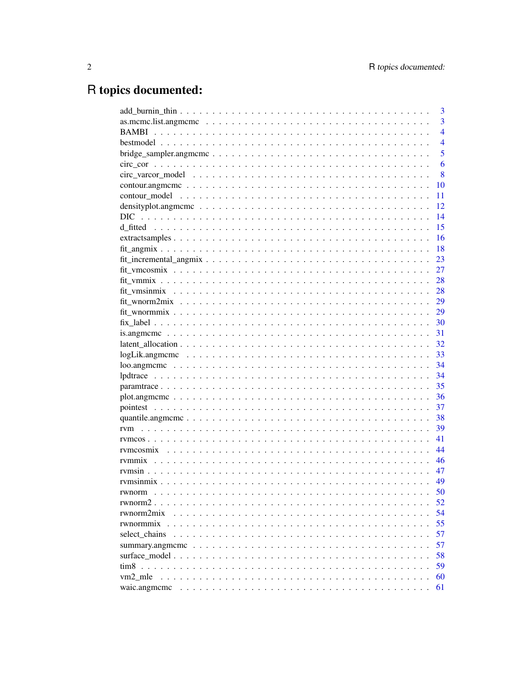## R topics documented:

|                                                                                                                                                           | 3              |
|-----------------------------------------------------------------------------------------------------------------------------------------------------------|----------------|
|                                                                                                                                                           | $\overline{3}$ |
| <b>BAMBI</b>                                                                                                                                              | $\overline{4}$ |
|                                                                                                                                                           | $\overline{4}$ |
|                                                                                                                                                           | 5              |
|                                                                                                                                                           | 6              |
|                                                                                                                                                           | 8              |
|                                                                                                                                                           | 10             |
|                                                                                                                                                           | 11             |
| density plot, angmoment $\ldots$ , $\ldots$ , $\ldots$ , $\ldots$ , $\ldots$ , $\ldots$ , $\ldots$ , $\ldots$ , $\ldots$ , $\ldots$ , $\ldots$ , $\ldots$ | 12             |
| <b>DIC</b>                                                                                                                                                | 14             |
|                                                                                                                                                           | 15             |
|                                                                                                                                                           | 16             |
|                                                                                                                                                           | 18             |
|                                                                                                                                                           | 23             |
|                                                                                                                                                           | 27             |
|                                                                                                                                                           | 28             |
|                                                                                                                                                           | 28             |
|                                                                                                                                                           | 29             |
|                                                                                                                                                           | 29             |
|                                                                                                                                                           | 30             |
|                                                                                                                                                           | 31             |
|                                                                                                                                                           | 32             |
| $logLik$ .angmomo $\ldots \ldots \ldots \ldots \ldots \ldots \ldots \ldots \ldots \ldots \ldots$                                                          | 33             |
| $\text{loo.}$ angmeme $\ldots \ldots \ldots \ldots \ldots \ldots \ldots \ldots \ldots \ldots \ldots \ldots \ldots$                                        | 34             |
|                                                                                                                                                           | 34             |
|                                                                                                                                                           | 35             |
|                                                                                                                                                           | 36             |
|                                                                                                                                                           | 37             |
|                                                                                                                                                           | 38             |
|                                                                                                                                                           | 39             |
|                                                                                                                                                           | 41             |
|                                                                                                                                                           | 44             |
|                                                                                                                                                           | 46             |
|                                                                                                                                                           | 47             |
|                                                                                                                                                           | 49             |
|                                                                                                                                                           | 50             |
|                                                                                                                                                           | 52             |
| rwnorm2mix                                                                                                                                                | 54             |
| rwnormmix                                                                                                                                                 | 55             |
| select chains                                                                                                                                             | 57             |
|                                                                                                                                                           | 57             |
|                                                                                                                                                           | 58             |
|                                                                                                                                                           | 59             |
| vm2_mle                                                                                                                                                   | 60             |
| waic.angmcmc                                                                                                                                              | 61             |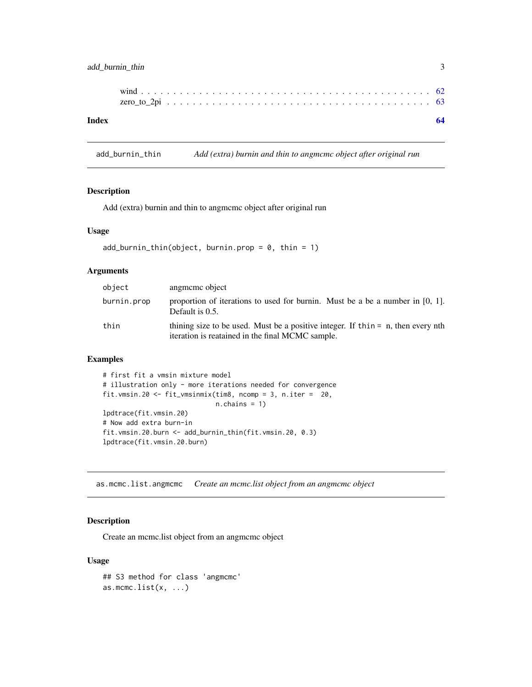## <span id="page-2-0"></span>add\_burnin\_thin 3

add\_burnin\_thin *Add (extra) burnin and thin to angmcmc object after original run*

## Description

Add (extra) burnin and thin to angmcmc object after original run

#### Usage

```
add_burnin_thin(object, burnin.prop = 0, thin = 1)
```
## Arguments

| object      | angmeme object                                                                                                                         |
|-------------|----------------------------------------------------------------------------------------------------------------------------------------|
| burnin.prop | proportion of iterations to used for burnin. Must be a be a number in $[0, 1]$ .<br>Default is $0.5$ .                                 |
| thin        | thining size to be used. Must be a positive integer. If thin $=$ n, then every nth<br>iteration is reatained in the final MCMC sample. |

#### Examples

```
# first fit a vmsin mixture model
# illustration only - more iterations needed for convergence
fit.vmsin.20 <- fit_vmsinmix(tim8, ncomp = 3, n.iter = 20,
                            n.chains = 1)
lpdtrace(fit.vmsin.20)
# Now add extra burn-in
fit.vmsin.20.burn <- add_burnin_thin(fit.vmsin.20, 0.3)
lpdtrace(fit.vmsin.20.burn)
```
as.mcmc.list.angmcmc *Create an mcmc.list object from an angmcmc object*

## Description

Create an mcmc.list object from an angmcmc object

#### Usage

```
## S3 method for class 'angmcmc'
as.mcmc.list(x, \ldots)
```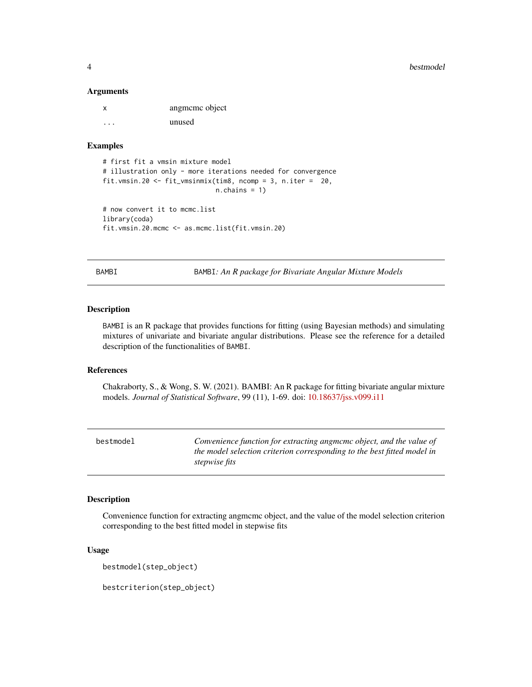<span id="page-3-0"></span>

| x | angmeme object |
|---|----------------|
| . | unused         |

#### Examples

```
# first fit a vmsin mixture model
# illustration only - more iterations needed for convergence
fit.vmsin.20 <- fit_vmsinmix(tim8, ncomp = 3, n.iter = 20,
                             n.chains = 1)
# now convert it to mcmc.list
library(coda)
fit.vmsin.20.mcmc <- as.mcmc.list(fit.vmsin.20)
```
BAMBI BAMBI*: An R package for Bivariate Angular Mixture Models*

## Description

BAMBI is an R package that provides functions for fitting (using Bayesian methods) and simulating mixtures of univariate and bivariate angular distributions. Please see the reference for a detailed description of the functionalities of BAMBI.

#### References

Chakraborty, S., & Wong, S. W. (2021). BAMBI: An R package for fitting bivariate angular mixture models. *Journal of Statistical Software*, 99 (11), 1-69. doi: [10.18637/jss.v099.i11](https://doi.org/10.18637/jss.v099.i11)

bestmodel *Convenience function for extracting angmcmc object, and the value of the model selection criterion corresponding to the best fitted model in stepwise fits*

#### Description

Convenience function for extracting angmcmc object, and the value of the model selection criterion corresponding to the best fitted model in stepwise fits

#### Usage

```
bestmodel(step_object)
```
bestcriterion(step\_object)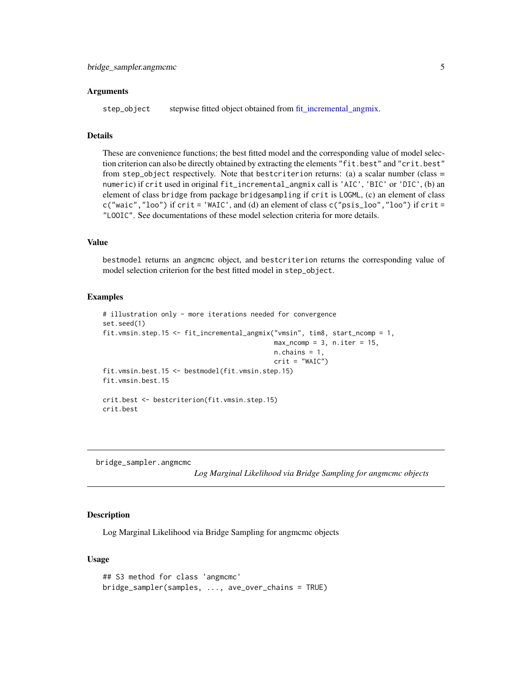<span id="page-4-0"></span>step\_object stepwise fitted object obtained from [fit\\_incremental\\_angmix.](#page-22-1)

## **Details**

These are convenience functions; the best fitted model and the corresponding value of model selection criterion can also be directly obtained by extracting the elements "fit.best" and "crit.best" from step\_object respectively. Note that bestcriterion returns: (a) a scalar number (class  $=$ numeric) if crit used in original fit\_incremental\_angmix call is 'AIC', 'BIC' or 'DIC', (b) an element of class bridge from package bridgesampling if crit is LOGML, (c) an element of class c("waic","loo") if crit = 'WAIC', and (d) an element of class c("psis\_loo","loo") if crit = "LOOIC". See documentations of these model selection criteria for more details.

#### Value

bestmodel returns an angmcmc object, and bestcriterion returns the corresponding value of model selection criterion for the best fitted model in step\_object.

#### Examples

```
# illustration only - more iterations needed for convergence
set.seed(1)
fit.vmsin.step.15 <- fit_incremental_angmix("vmsin", tim8, start_ncomp = 1,
                                            max\_ncomp = 3, n.iter = 15,n.chains = 1,
                                            crit = "WAIC")
fit.vmsin.best.15 <- bestmodel(fit.vmsin.step.15)
fit.vmsin.best.15
crit.best <- bestcriterion(fit.vmsin.step.15)
crit.best
```
bridge\_sampler.angmcmc

*Log Marginal Likelihood via Bridge Sampling for angmcmc objects*

#### **Description**

Log Marginal Likelihood via Bridge Sampling for angmcmc objects

#### Usage

```
## S3 method for class 'angmcmc'
bridge_sampler(samples, ..., ave_over_chains = TRUE)
```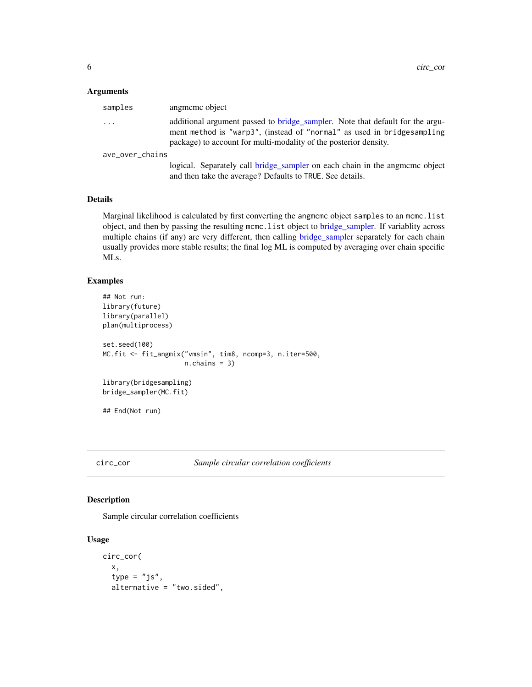<span id="page-5-0"></span>

| samples                 | angmeme object                                                                                                                                                                                                              |
|-------------------------|-----------------------------------------------------------------------------------------------------------------------------------------------------------------------------------------------------------------------------|
| $\cdot$ $\cdot$ $\cdot$ | additional argument passed to bridge_sampler. Note that default for the argu-<br>ment method is "warp3", (instead of "normal" as used in bridgesampling<br>package) to account for multi-modality of the posterior density. |
| ave over chains         |                                                                                                                                                                                                                             |
|                         | logical. Separately call bridge_sampler on each chain in the angmeme object<br>and then take the average? Defaults to TRUE. See details.                                                                                    |

#### Details

Marginal likelihood is calculated by first converting the angmcmc object samples to an mcmc.list object, and then by passing the resulting mcmc.list object to [bridge\\_sampler.](#page-0-0) If variablity across multiple chains (if any) are very different, then calling [bridge\\_sampler](#page-0-0) separately for each chain usually provides more stable results; the final log ML is computed by averaging over chain specific MLs.

## Examples

```
## Not run:
library(future)
library(parallel)
plan(multiprocess)
set.seed(100)
MC.fit <- fit_angmix("vmsin", tim8, ncomp=3, n.iter=500,
                     n.chains = 3)
library(bridgesampling)
bridge_sampler(MC.fit)
## End(Not run)
```
circ\_cor *Sample circular correlation coefficients*

## Description

Sample circular correlation coefficients

## Usage

```
circ_cor(
  x,
  type = "js",alternative = "two.sided",
```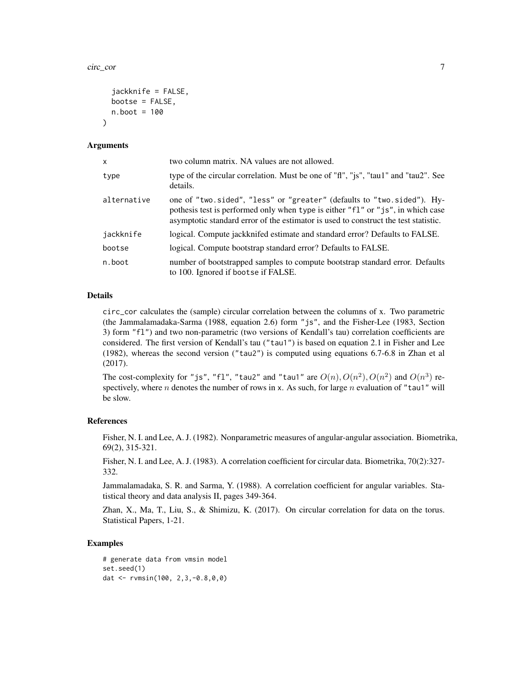circ\_cor 7

```
jackknife = FALSE,
  bootse = FALSE,
  n.boot = 100\lambda
```
#### Arguments

| x           | two column matrix. NA values are not allowed.                                                                                                                                                                                                    |
|-------------|--------------------------------------------------------------------------------------------------------------------------------------------------------------------------------------------------------------------------------------------------|
| type        | type of the circular correlation. Must be one of "fi", "js", "tau1" and "tau2". See<br>details.                                                                                                                                                  |
| alternative | one of "two.sided", "less" or "greater" (defaults to "two.sided"). Hy-<br>pothesis test is performed only when type is either "f1" or "js", in which case<br>asymptotic standard error of the estimator is used to construct the test statistic. |
| jackknife   | logical. Compute jackknifed estimate and standard error? Defaults to FALSE.                                                                                                                                                                      |
| bootse      | logical. Compute bootstrap standard error? Defaults to FALSE.                                                                                                                                                                                    |
| n.boot      | number of bootstrapped samples to compute bootstrap standard error. Defaults<br>to 100. Ignored if bootse if FALSE.                                                                                                                              |

#### Details

circ\_cor calculates the (sample) circular correlation between the columns of x. Two parametric (the Jammalamadaka-Sarma (1988, equation 2.6) form "js", and the Fisher-Lee (1983, Section 3) form "fl") and two non-parametric (two versions of Kendall's tau) correlation coefficients are considered. The first version of Kendall's tau ("tau1") is based on equation 2.1 in Fisher and Lee (1982), whereas the second version ("tau2") is computed using equations 6.7-6.8 in Zhan et al (2017).

The cost-complexity for "js", "fl", "tau2" and "tau1" are  $O(n)$ ,  $O(n^2)$ ,  $O(n^2)$  and  $O(n^3)$  respectively, where n denotes the number of rows in x. As such, for large n evaluation of "tau1" will be slow.

#### References

Fisher, N. I. and Lee, A. J. (1982). Nonparametric measures of angular-angular association. Biometrika, 69(2), 315-321.

Fisher, N. I. and Lee, A. J. (1983). A correlation coefficient for circular data. Biometrika, 70(2):327- 332.

Jammalamadaka, S. R. and Sarma, Y. (1988). A correlation coefficient for angular variables. Statistical theory and data analysis II, pages 349-364.

Zhan, X., Ma, T., Liu, S., & Shimizu, K. (2017). On circular correlation for data on the torus. Statistical Papers, 1-21.

#### Examples

```
# generate data from vmsin model
set.seed(1)
dat <- rvmsin(100, 2,3,-0.8,0,0)
```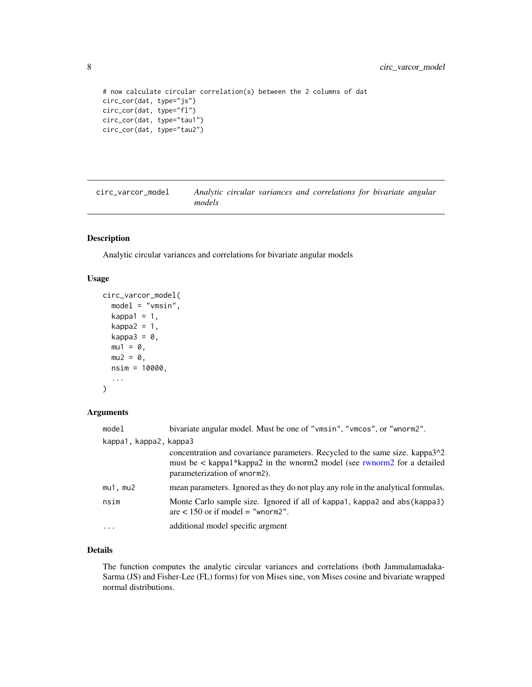```
# now calculate circular correlation(s) between the 2 columns of dat
circ_cor(dat, type="js")
circ_cor(dat, type="fl")
circ_cor(dat, type="tau1")
circ_cor(dat, type="tau2")
```

| circ_varcor_model | Analytic circular variances and correlations for bivariate angular |  |  |  |
|-------------------|--------------------------------------------------------------------|--|--|--|
|                   | models                                                             |  |  |  |

## Description

Analytic circular variances and correlations for bivariate angular models

#### Usage

```
circ_varcor_model(
  model = "vmsin",
 kappa1 = 1,
 kappa2 = 1,
 kappa3 = 0,
 mu1 = 0,
 mu2 = 0,
 nsim = 10000,
  ...
)
```
## Arguments

| model                  | bivariate angular model. Must be one of "vmsin", "vmcos", or "wnorm2".                                                                                                                               |
|------------------------|------------------------------------------------------------------------------------------------------------------------------------------------------------------------------------------------------|
| kappa1, kappa2, kappa3 |                                                                                                                                                                                                      |
|                        | concentration and covariance parameters. Recycled to the same size. kappa3 <sup>1</sup> 2<br>must be < kappa1*kappa2 in the wnorm2 model (see rwnorm2 for a detailed<br>parameterization of wnorm2). |
| $mu1$ , $mu2$          | mean parameters. Ignored as they do not play any role in the analytical formulas.                                                                                                                    |
| nsim                   | Monte Carlo sample size. Ignored if all of kappa1, kappa2 and abs (kappa3)<br>are $< 150$ or if model = "whorm2".                                                                                    |
| $\cdots$               | additional model specific argment                                                                                                                                                                    |

## Details

The function computes the analytic circular variances and correlations (both Jammalamadaka-Sarma (JS) and Fisher-Lee (FL) forms) for von Mises sine, von Mises cosine and bivariate wrapped normal distributions.

<span id="page-7-0"></span>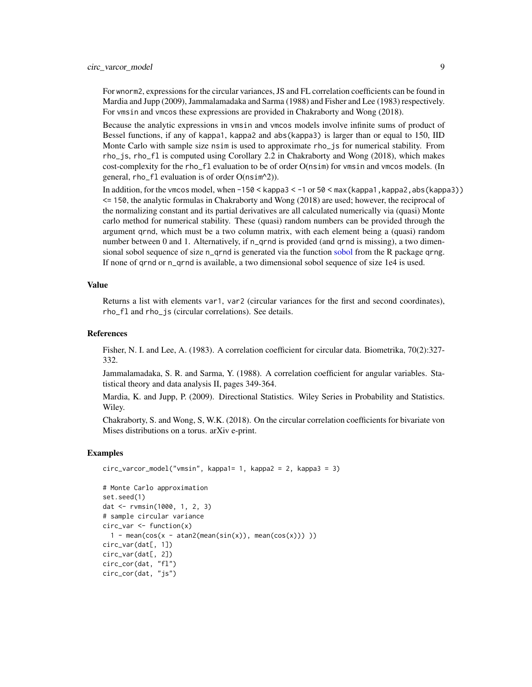<span id="page-8-0"></span>For wnorm2, expressions for the circular variances, JS and FL correlation coefficients can be found in Mardia and Jupp (2009), Jammalamadaka and Sarma (1988) and Fisher and Lee (1983) respectively. For vmsin and vmcos these expressions are provided in Chakraborty and Wong (2018).

Because the analytic expressions in vmsin and vmcos models involve infinite sums of product of Bessel functions, if any of kappa1, kappa2 and abs(kappa3) is larger than or equal to 150, IID Monte Carlo with sample size nsim is used to approximate rho\_js for numerical stability. From rho\_js, rho\_fl is computed using Corollary 2.2 in Chakraborty and Wong (2018), which makes cost-complexity for the rho\_fl evaluation to be of order O(nsim) for vmsin and vmcos models. (In general, rho\_fl evaluation is of order O(nsim^2)).

In addition, for the vmcos model, when -150 < kappa3 < -1 or 50 < max(kappa1,kappa2,abs(kappa3)) <= 150, the analytic formulas in Chakraborty and Wong (2018) are used; however, the reciprocal of the normalizing constant and its partial derivatives are all calculated numerically via (quasi) Monte carlo method for numerical stability. These (quasi) random numbers can be provided through the argument qrnd, which must be a two column matrix, with each element being a (quasi) random number between 0 and 1. Alternatively, if n\_qrnd is provided (and qrnd is missing), a two dimensional [sobol](#page-0-0) sequence of size n\_qrnd is generated via the function sobol from the R package qrng. If none of qrnd or n\_qrnd is available, a two dimensional sobol sequence of size 1e4 is used.

#### Value

Returns a list with elements var1, var2 (circular variances for the first and second coordinates), rho\_fl and rho\_js (circular correlations). See details.

#### References

Fisher, N. I. and Lee, A. (1983). A correlation coefficient for circular data. Biometrika, 70(2):327- 332.

Jammalamadaka, S. R. and Sarma, Y. (1988). A correlation coefficient for angular variables. Statistical theory and data analysis II, pages 349-364.

Mardia, K. and Jupp, P. (2009). Directional Statistics. Wiley Series in Probability and Statistics. Wiley.

Chakraborty, S. and Wong, S, W.K. (2018). On the circular correlation coefficients for bivariate von Mises distributions on a torus. arXiv e-print.

#### Examples

```
circ_varcor_model("vmsin", kappa1= 1, kappa2 = 2, kappa3 = 3)
# Monte Carlo approximation
set.seed(1)
dat <- rvmsin(1000, 1, 2, 3)
# sample circular variance
circ_var <- function(x)
  1 - mean(cos(x - atan2(mean(sin(x)), mean(cos(x)))))
circ_var(dat[, 1])
circ_var(dat[, 2])
circ_cor(dat, "fl")
circ_cor(dat, "js")
```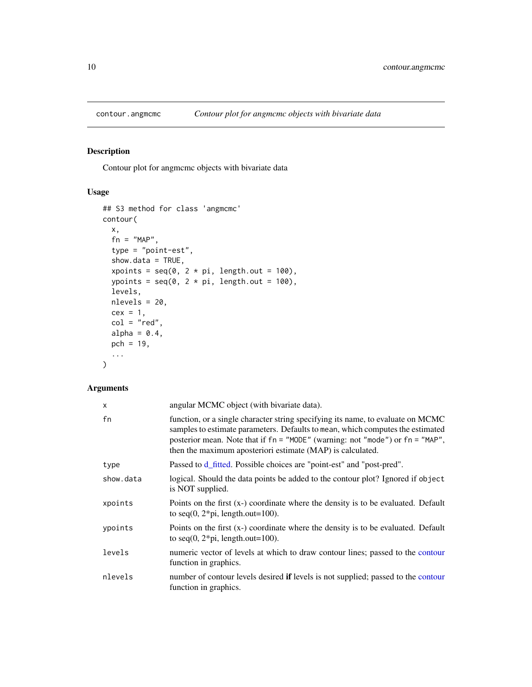<span id="page-9-0"></span>

## Description

Contour plot for angmcmc objects with bivariate data

## Usage

```
## S3 method for class 'angmcmc'
contour(
 x,
 fn = "MAP",type = "point-est",
  show.data = TRUE,
 xpoints = seq(0, 2 * pi, length.out = 100),ypoints = seq(0, 2 * pi, length.out = 100),
 levels,
 nlevels = 20,
 cex = 1,
 col = "red",alpha = 0.4,
 pch = 19,
  ...
)
```

| angular MCMC object (with bivariate data).                                                                                                                                                                                                                                                                       |
|------------------------------------------------------------------------------------------------------------------------------------------------------------------------------------------------------------------------------------------------------------------------------------------------------------------|
| function, or a single character string specifying its name, to evaluate on MCMC<br>samples to estimate parameters. Defaults to mean, which computes the estimated<br>posterior mean. Note that if fn = "MODE" (warning: not "mode") or fn = "MAP",<br>then the maximum aposteriori estimate (MAP) is calculated. |
| Passed to d_fitted. Possible choices are "point-est" and "post-pred".                                                                                                                                                                                                                                            |
| logical. Should the data points be added to the contour plot? Ignored if object<br>is NOT supplied.                                                                                                                                                                                                              |
| Points on the first $(x-)$ coordinate where the density is to be evaluated. Default<br>to seq $(0, 2 \cdot \pi)$ , length.out=100).                                                                                                                                                                              |
| Points on the first (x-) coordinate where the density is to be evaluated. Default<br>to seq $(0, 2 \cdot \pi)$ , length.out=100).                                                                                                                                                                                |
| numeric vector of levels at which to draw contour lines; passed to the contour<br>function in graphics.                                                                                                                                                                                                          |
| number of contour levels desired if levels is not supplied; passed to the contour<br>function in graphics.                                                                                                                                                                                                       |
|                                                                                                                                                                                                                                                                                                                  |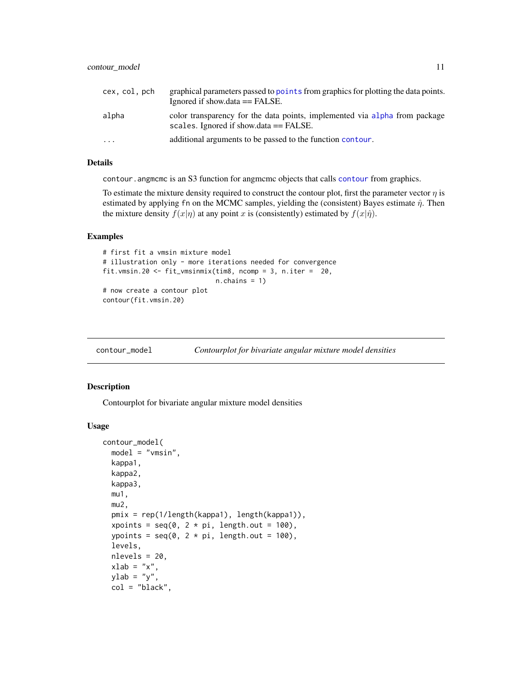<span id="page-10-0"></span>

| cex, col, pch | graphical parameters passed to points from graphics for plotting the data points.<br>Ignored if show $data == FALSE$ .  |
|---------------|-------------------------------------------------------------------------------------------------------------------------|
| alpha         | color transparency for the data points, implemented via alpha from package<br>scales. Ignored if show $data == FALSE$ . |
| .             | additional arguments to be passed to the function contour.                                                              |

## Details

[contour](#page-0-0). angmeme is an S3 function for angmeme objects that calls contour from graphics.

To estimate the mixture density required to construct the contour plot, first the parameter vector  $\eta$  is estimated by applying fn on the MCMC samples, yielding the (consistent) Bayes estimate  $\hat{\eta}$ . Then the mixture density  $f(x|\eta)$  at any point x is (consistently) estimated by  $f(x|\hat{\eta})$ .

#### Examples

```
# first fit a vmsin mixture model
# illustration only - more iterations needed for convergence
fit.vmsin.20 <- fit_vmsinmix(tim8, ncomp = 3, n.iter = 20,
                            n.chains = 1)
# now create a contour plot
contour(fit.vmsin.20)
```

| contour_model |  | Contourplot for bivariate angular mixture model densities |  |
|---------------|--|-----------------------------------------------------------|--|
|---------------|--|-----------------------------------------------------------|--|

## Description

Contourplot for bivariate angular mixture model densities

#### Usage

```
contour_model(
 model = "vmsin",
 kappa1,
 kappa2,
 kappa3,
  mu1,
 mu2,
 pmix = rep(1/length(kappa1), length(kappa1)),
 xpoints = seq(0, 2 * pi, length.out = 100),
  ypoints = seq(0, 2 * pi, length.out = 100),
  levels,
  nlevels = 20,
 xlab = "x",
 ylab = "y",
  col = "black",
```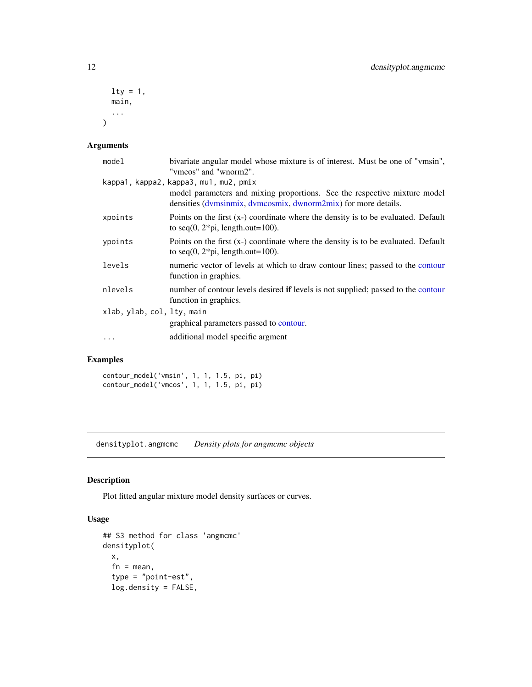```
lty = 1,
  main,
   ...
\mathcal{L}
```

| model                      | bivariate angular model whose mixture is of interest. Must be one of "vmsin",<br>"vmcos" and "wnorm2".                                      |
|----------------------------|---------------------------------------------------------------------------------------------------------------------------------------------|
|                            | kappa1, kappa2, kappa3, mu1, mu2, pmix                                                                                                      |
|                            | model parameters and mixing proportions. See the respective mixture model<br>densities (dymsinmix, dymcosmix, dwnorm2mix) for more details. |
| xpoints                    | Points on the first $(x)$ coordinate where the density is to be evaluated. Default<br>to seq $(0, 2 \cdot \pi)$ , length.out=100).          |
| ypoints                    | Points on the first $(x)$ coordinate where the density is to be evaluated. Default<br>to seq $(0, 2 \cdot \pi)$ , length.out=100).          |
| levels                     | numeric vector of levels at which to draw contour lines; passed to the contour<br>function in graphics.                                     |
| nlevels                    | number of contour levels desired if levels is not supplied; passed to the contour<br>function in graphics.                                  |
| xlab, ylab, col, lty, main |                                                                                                                                             |
|                            | graphical parameters passed to contour.                                                                                                     |
| $\ddotsc$                  | additional model specific argment                                                                                                           |

## Examples

contour\_model('vmsin', 1, 1, 1.5, pi, pi) contour\_model('vmcos', 1, 1, 1.5, pi, pi)

densityplot.angmcmc *Density plots for angmcmc objects*

## Description

Plot fitted angular mixture model density surfaces or curves.

## Usage

```
## S3 method for class 'angmcmc'
densityplot(
 x,
 fn = mean,type = "point-est",
 log.density = FALSE,
```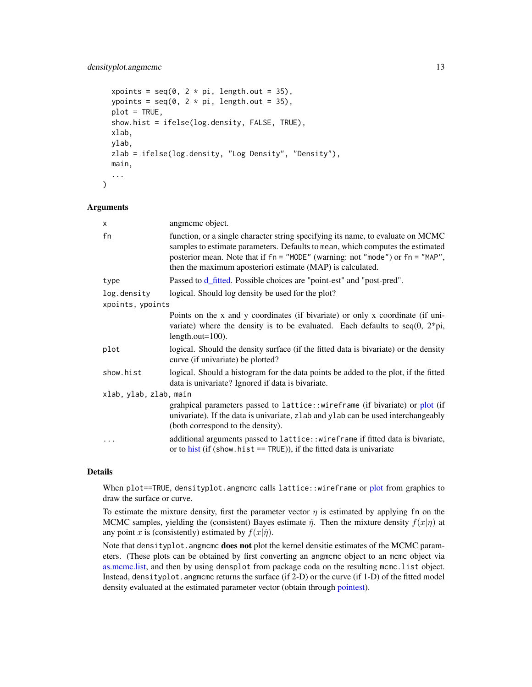## <span id="page-12-0"></span>densityplot.angmcmc 13

```
xpoints = seq(0, 2 * pi, length.out = 35),
ypoints = seq(0, 2 * pi, length.out = 35),
plot = TRUE,
show.hist = ifelse(log.density, FALSE, TRUE),
xlab,
ylab,
zlab = ifelse(log.density, "Log Density", "Density"),
main,
...
```
#### Arguments

)

| x                      | angmeme object.                                                                                                                                                                                                                                                                                                  |  |
|------------------------|------------------------------------------------------------------------------------------------------------------------------------------------------------------------------------------------------------------------------------------------------------------------------------------------------------------|--|
| fn                     | function, or a single character string specifying its name, to evaluate on MCMC<br>samples to estimate parameters. Defaults to mean, which computes the estimated<br>posterior mean. Note that if fn = "MODE" (warning: not "mode") or fn = "MAP",<br>then the maximum aposteriori estimate (MAP) is calculated. |  |
| type                   | Passed to d_fitted. Possible choices are "point-est" and "post-pred".                                                                                                                                                                                                                                            |  |
| log.density            | logical. Should log density be used for the plot?                                                                                                                                                                                                                                                                |  |
| xpoints, ypoints       |                                                                                                                                                                                                                                                                                                                  |  |
|                        | Points on the x and y coordinates (if bivariate) or only x coordinate (if uni-<br>variate) where the density is to be evaluated. Each defaults to seq(0, $2*pi$ ,<br>length.out= $100$ ).                                                                                                                        |  |
| plot                   | logical. Should the density surface (if the fitted data is bivariate) or the density<br>curve (if univariate) be plotted?                                                                                                                                                                                        |  |
| show.hist              | logical. Should a histogram for the data points be added to the plot, if the fitted<br>data is univariate? Ignored if data is bivariate.                                                                                                                                                                         |  |
| xlab, ylab, zlab, main |                                                                                                                                                                                                                                                                                                                  |  |
|                        | grahpical parameters passed to lattice:: wireframe (if bivariate) or plot (if<br>univariate). If the data is univariate, zlab and ylab can be used interchangeably<br>(both correspond to the density).                                                                                                          |  |
| .                      | additional arguments passed to lattice:: wireframe if fitted data is bivariate,<br>or to hist (if (show hist $==$ TRUE)), if the fitted data is univariate                                                                                                                                                       |  |

#### Details

When [plot](#page-0-0)==TRUE, densityplot.angmcmc calls lattice::wireframe or plot from graphics to draw the surface or curve.

To estimate the mixture density, first the parameter vector  $\eta$  is estimated by applying fn on the MCMC samples, yielding the (consistent) Bayes estimate  $\hat{\eta}$ . Then the mixture density  $f(x|\eta)$  at any point x is (consistently) estimated by  $f(x|\hat{\eta})$ .

Note that densityplot.angmcmc does not plot the kernel densitie estimates of the MCMC parameters. (These plots can be obtained by first converting an angmcmc object to an mcmc object via [as.mcmc.list,](#page-0-0) and then by using densplot from package coda on the resulting mcmc.list object. Instead, densityplot.angmcmc returns the surface (if 2-D) or the curve (if 1-D) of the fitted model density evaluated at the estimated parameter vector (obtain through [pointest\)](#page-36-1).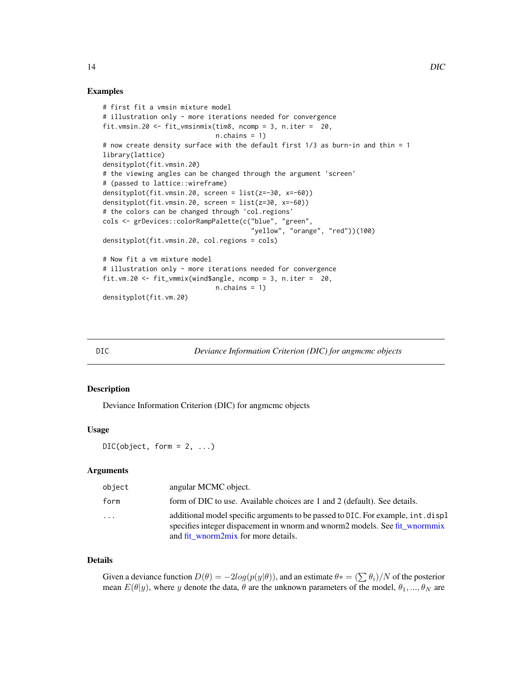#### Examples

```
# first fit a vmsin mixture model
# illustration only - more iterations needed for convergence
fit.vmsin.20 <- fit_vmsinmix(tim8, ncomp = 3, n.iter = 20,
                             n.chains = 1)
# now create density surface with the default first 1/3 as burn-in and thin = 1
library(lattice)
densityplot(fit.vmsin.20)
# the viewing angles can be changed through the argument 'screen'
# (passed to lattice::wireframe)
densityplot(fit.vmsin.20, screen = list(z=-30, x=-60))
densityplot(fit.vmsin.20, screen = list(z=30, x=-60))
# the colors can be changed through 'col.regions'
cols <- grDevices::colorRampPalette(c("blue", "green",
                                      "yellow", "orange", "red"))(100)
densityplot(fit.vmsin.20, col.regions = cols)
# Now fit a vm mixture model
# illustration only - more iterations needed for convergence
fit.vm.20 <- fit_vmmix(wind$angle, ncomp = 3, n.iter = 20,
                             n.chains = 1)
densityplot(fit.vm.20)
```
DIC *Deviance Information Criterion (DIC) for angmcmc objects*

#### Description

Deviance Information Criterion (DIC) for angmcmc objects

#### Usage

 $DIC(object, form = 2, ...)$ 

## **Arguments**

| object  | angular MCMC object.                                                                                                                                                                                  |
|---------|-------------------------------------------------------------------------------------------------------------------------------------------------------------------------------------------------------|
| form    | form of DIC to use. Available choices are 1 and 2 (default). See details.                                                                                                                             |
| $\cdot$ | additional model specific arguments to be passed to DIC. For example, int. displ<br>specifies integer dispacement in wnorm and wnorm2 models. See fit wnormmix<br>and fit wnorm2mix for more details. |

#### Details

Given a deviance function  $D(\theta) = -2log(p(y|\theta))$ , and an estimate  $\theta* = (\sum \theta_i)/N$  of the posterior mean  $E(\theta|y)$ , where y denote the data,  $\theta$  are the unknown parameters of the model,  $\theta_1, ..., \theta_N$  are

<span id="page-13-0"></span>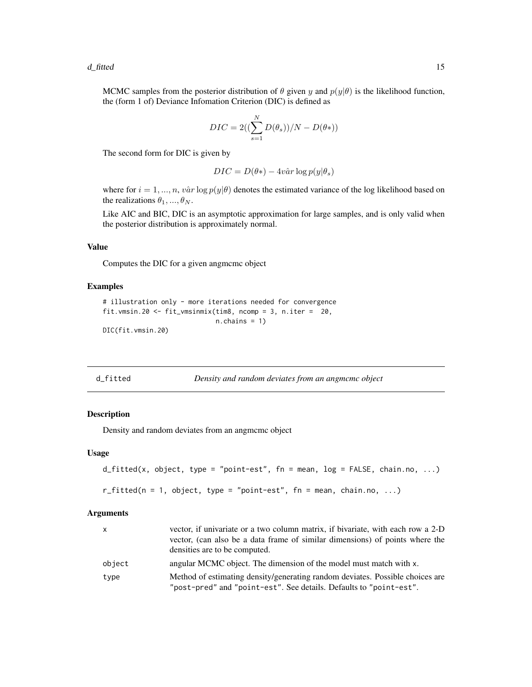<span id="page-14-0"></span>MCMC samples from the posterior distribution of  $\theta$  given y and  $p(y|\theta)$  is the likelihood function, the (form 1 of) Deviance Infomation Criterion (DIC) is defined as

$$
DIC = 2\left(\left(\sum_{s=1}^{N} D(\theta_s)\right)/N - D(\theta*)\right)
$$

The second form for DIC is given by

$$
DIC = D(\theta*) - 4v\hat{a}r \log p(y|\theta_s)
$$

where for  $i = 1, ..., n$ ,  $v\hat{a}r \log p(y|\theta)$  denotes the estimated variance of the log likelihood based on the realizations  $\theta_1, ..., \theta_N$ .

Like AIC and BIC, DIC is an asymptotic approximation for large samples, and is only valid when the posterior distribution is approximately normal.

#### Value

Computes the DIC for a given angmcmc object

## Examples

```
# illustration only - more iterations needed for convergence
fit.vmsin.20 <- fit_vmsinmix(tim8, ncomp = 3, n.iter = 20,
                            n.chains = 1)
DIC(fit.vmsin.20)
```
<span id="page-14-1"></span>

| d_fitted | Density and random deviates from an angmeme object |
|----------|----------------------------------------------------|
|          |                                                    |

## Description

Density and random deviates from an angmcmc object

#### Usage

```
d_fitted(x, object, type = "point-est", fn = mean, log = FALSE, chain.no, ...)
```

```
r_fitted(n = 1, object, type = "point-est", fn = mean, chain.no, ...)
```

| x      | vector, if univariate or a two column matrix, if bivariate, with each row a 2-D<br>vector, (can also be a data frame of similar dimensions) of points where the<br>densities are to be computed. |
|--------|--------------------------------------------------------------------------------------------------------------------------------------------------------------------------------------------------|
| object | angular MCMC object. The dimension of the model must match with x.                                                                                                                               |
| type   | Method of estimating density/generating random deviates. Possible choices are<br>"post-pred" and "point-est". See details. Defaults to "point-est".                                              |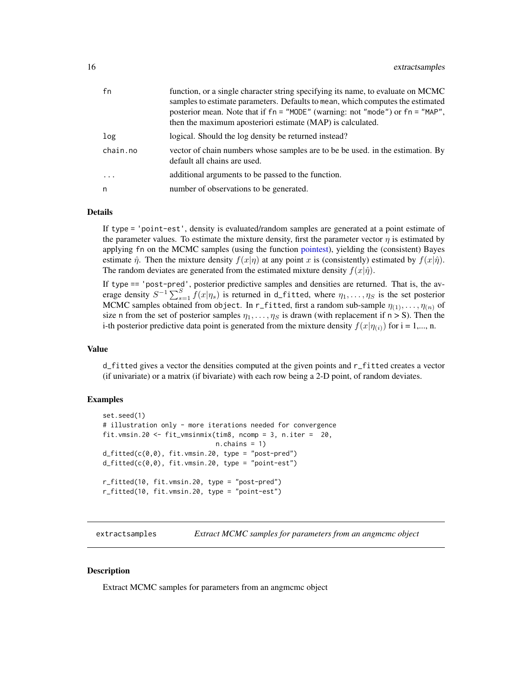<span id="page-15-0"></span>

| fn       | function, or a single character string specifying its name, to evaluate on MCMC<br>samples to estimate parameters. Defaults to mean, which computes the estimated<br>posterior mean. Note that if fn = "MODE" (warning: not "mode") or fn = "MAP",<br>then the maximum aposteriori estimate (MAP) is calculated. |
|----------|------------------------------------------------------------------------------------------------------------------------------------------------------------------------------------------------------------------------------------------------------------------------------------------------------------------|
| log      | logical. Should the log density be returned instead?                                                                                                                                                                                                                                                             |
| chain.no | vector of chain numbers whose samples are to be be used. in the estimation. By<br>default all chains are used.                                                                                                                                                                                                   |
| .        | additional arguments to be passed to the function.                                                                                                                                                                                                                                                               |
| n        | number of observations to be generated.                                                                                                                                                                                                                                                                          |

#### Details

If type = 'point-est', density is evaluated/random samples are generated at a point estimate of the parameter values. To estimate the mixture density, first the parameter vector  $\eta$  is estimated by applying fn on the MCMC samples (using the function [pointest\)](#page-36-1), yielding the (consistent) Bayes estimate  $\hat{\eta}$ . Then the mixture density  $f(x|\eta)$  at any point x is (consistently) estimated by  $f(x|\hat{\eta})$ . The random deviates are generated from the estimated mixture density  $f(x|\hat{\eta})$ .

If type == 'post-pred', posterior predictive samples and densities are returned. That is, the average density  $S^{-1}\sum_{s=1}^{S}f(x|\eta_s)$  is returned in d\_fitted, where  $\eta_1,\ldots,\eta_S$  is the set posterior MCMC samples obtained from object. In r\_fitted, first a random sub-sample  $\eta_{(1)}, \ldots, \eta_{(n)}$  of size n from the set of posterior samples  $\eta_1, \ldots, \eta_s$  is drawn (with replacement if  $n > S$ ). Then the i-th posterior predictive data point is generated from the mixture density  $f(x|\eta_{(i)})$  for  $i = 1,..., n$ .

## Value

d\_fitted gives a vector the densities computed at the given points and r\_fitted creates a vector (if univariate) or a matrix (if bivariate) with each row being a 2-D point, of random deviates.

#### Examples

```
set.seed(1)
# illustration only - more iterations needed for convergence
fit.vmsin.20 <- fit_vmsinmix(tim8, ncomp = 3, n.iter = 20,
                             n.chains = 1)
d_fitted(c(0,0), fit.vmsin.20, type = "post-pred")
d_fitted(c(0,0), fit.vmsin.20, type = "point-est")
r_fitted(10, fit.vmsin.20, type = "post-pred")
r_fitted(10, fit.vmsin.20, type = "point-est")
```
extractsamples *Extract MCMC samples for parameters from an angmcmc object*

#### **Description**

Extract MCMC samples for parameters from an angmcmc object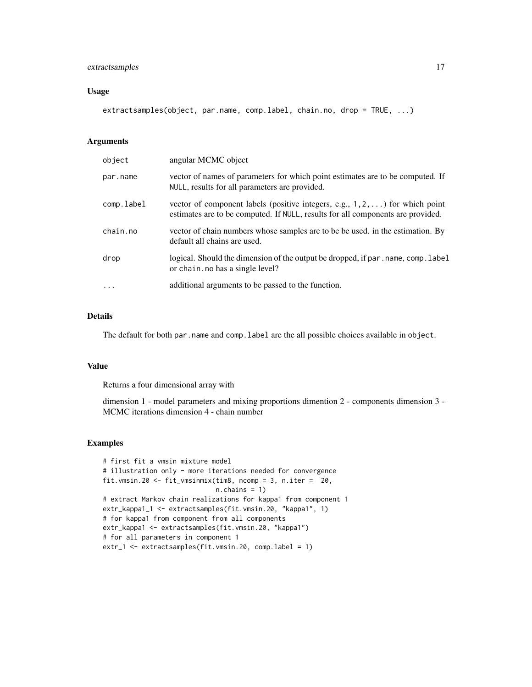## extractsamples 17

## Usage

extractsamples(object, par.name, comp.label, chain.no, drop = TRUE, ...)

#### Arguments

| object     | angular MCMC object                                                                                                                                                      |
|------------|--------------------------------------------------------------------------------------------------------------------------------------------------------------------------|
| par.name   | vector of names of parameters for which point estimates are to be computed. If<br>NULL, results for all parameters are provided.                                         |
| comp.label | vector of component labels (positive integers, e.g., $1, 2, \ldots$ ) for which point<br>estimates are to be computed. If NULL, results for all components are provided. |
| chain.no   | vector of chain numbers whose samples are to be be used. in the estimation. By<br>default all chains are used.                                                           |
| drop       | logical. Should the dimension of the output be dropped, if par . name, comp. label<br>or chain. no has a single level?                                                   |
| $\ddotsc$  | additional arguments to be passed to the function.                                                                                                                       |

## Details

The default for both par.name and comp.label are the all possible choices available in object.

#### Value

Returns a four dimensional array with

dimension 1 - model parameters and mixing proportions dimention 2 - components dimension 3 - MCMC iterations dimension 4 - chain number

## Examples

```
# first fit a vmsin mixture model
# illustration only - more iterations needed for convergence
fit.vmsin.20 <- fit_vmsinmix(tim8, ncomp = 3, n.iter = 20,
                             n.chains = 1)
# extract Markov chain realizations for kappa1 from component 1
extr_kappa1_1 <- extractsamples(fit.vmsin.20, "kappa1", 1)
# for kappa1 from component from all components
extr_kappa1 <- extractsamples(fit.vmsin.20, "kappa1")
# for all parameters in component 1
extr_1 <- extractsamples(fit.vmsin.20, comp.label = 1)
```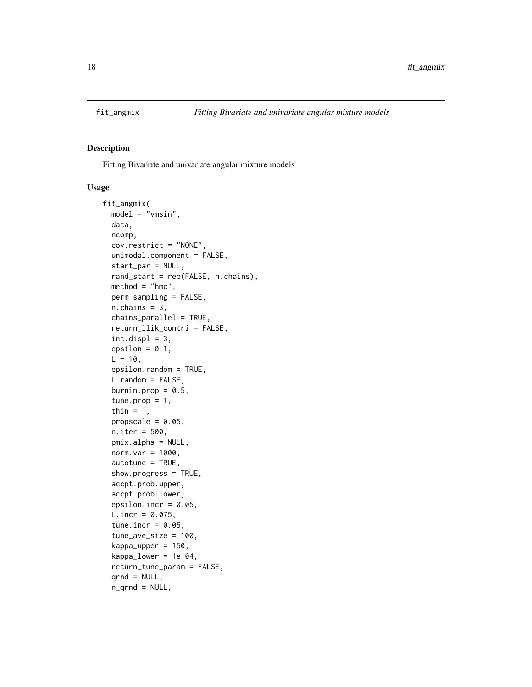<span id="page-17-1"></span><span id="page-17-0"></span>

#### Description

Fitting Bivariate and univariate angular mixture models

#### Usage

```
fit_angmix(
  model = "vmsin",
  data,
 ncomp,
  cov.restrict = "NONE",
  unimodal.component = FALSE,
  start_par = NULL,
  rand_start = rep(FALSE, n.chains),
 method = "hmc",perm_sampling = FALSE,
  n.chains = 3,
  chains_parallel = TRUE,
  return_llik_contri = FALSE,
  int.displ = 3,epsilon = 0.1,
 L = 10,
  epsilon.random = TRUE,
  L.random = FALSE,
 burnin.prop = 0.5,
  tune.prop = 1,
  thin = 1,
  propscale = 0.05,
  n.iter = 500,
 pmix.alpha = NULL,
  norm.var = 1000,
  autotune = TRUE,
  show.progress = TRUE,
  accpt.prob.upper,
  accpt.prob.lower,
  epsilon.incr = 0.05,
  L.incr = 0.075,tune.incr = 0.05,
  tune_ave_size = 100,
  kappa\_upper = 150,
  kappa[lower = 1e-04,
  return_tune_param = FALSE,
  qrnd = NULL,n_qrnd = NULL,
```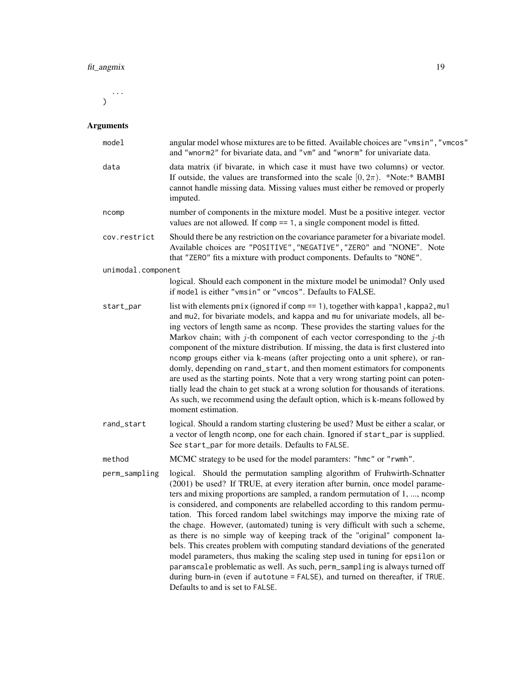...  $\lambda$ 

| model              | angular model whose mixtures are to be fitted. Available choices are "vmsin", "vmcos"<br>and "wnorm2" for bivariate data, and "vm" and "wnorm" for univariate data.                                                                                                                                                                                                                                                                                                                                                                                                                                                                                                                                                                                                                                                                                                                                                                        |  |
|--------------------|--------------------------------------------------------------------------------------------------------------------------------------------------------------------------------------------------------------------------------------------------------------------------------------------------------------------------------------------------------------------------------------------------------------------------------------------------------------------------------------------------------------------------------------------------------------------------------------------------------------------------------------------------------------------------------------------------------------------------------------------------------------------------------------------------------------------------------------------------------------------------------------------------------------------------------------------|--|
| data               | data matrix (if bivarate, in which case it must have two columns) or vector.<br>If outside, the values are transformed into the scale $[0, 2\pi)$ . *Note:* BAMBI<br>cannot handle missing data. Missing values must either be removed or properly<br>imputed.                                                                                                                                                                                                                                                                                                                                                                                                                                                                                                                                                                                                                                                                             |  |
| ncomp              | number of components in the mixture model. Must be a positive integer. vector<br>values are not allowed. If comp $== 1$ , a single component model is fitted.                                                                                                                                                                                                                                                                                                                                                                                                                                                                                                                                                                                                                                                                                                                                                                              |  |
| cov.restrict       | Should there be any restriction on the covariance parameter for a bivariate model.<br>Available choices are "POSITIVE", "NEGATIVE", "ZERO" and "NONE". Note<br>that "ZERO" fits a mixture with product components. Defaults to "NONE".                                                                                                                                                                                                                                                                                                                                                                                                                                                                                                                                                                                                                                                                                                     |  |
| unimodal.component |                                                                                                                                                                                                                                                                                                                                                                                                                                                                                                                                                                                                                                                                                                                                                                                                                                                                                                                                            |  |
|                    | logical. Should each component in the mixture model be unimodal? Only used<br>if model is either "vmsin" or "vmcos". Defaults to FALSE.                                                                                                                                                                                                                                                                                                                                                                                                                                                                                                                                                                                                                                                                                                                                                                                                    |  |
| start_par          | list with elements $pmi x$ (ignored if comp == 1), together with kappa1, kappa2, mu1<br>and mu2, for bivariate models, and kappa and mu for univariate models, all be-<br>ing vectors of length same as ncomp. These provides the starting values for the<br>Markov chain; with $j$ -th component of each vector corresponding to the $j$ -th<br>component of the mixture distribution. If missing, the data is first clustered into<br>ncomp groups either via k-means (after projecting onto a unit sphere), or ran-<br>domly, depending on rand_start, and then moment estimators for components<br>are used as the starting points. Note that a very wrong starting point can poten-<br>tially lead the chain to get stuck at a wrong solution for thousands of iterations.<br>As such, we recommend using the default option, which is k-means followed by<br>moment estimation.                                                      |  |
| rand_start         | logical. Should a random starting clustering be used? Must be either a scalar, or<br>a vector of length ncomp, one for each chain. Ignored if start_par is supplied.<br>See start_par for more details. Defaults to FALSE.                                                                                                                                                                                                                                                                                                                                                                                                                                                                                                                                                                                                                                                                                                                 |  |
| method             | MCMC strategy to be used for the model paramters: "hmc" or "rwmh".                                                                                                                                                                                                                                                                                                                                                                                                                                                                                                                                                                                                                                                                                                                                                                                                                                                                         |  |
| perm_sampling      | logical. Should the permutation sampling algorithm of Fruhwirth-Schnatter<br>(2001) be used? If TRUE, at every iteration after burnin, once model parame-<br>ters and mixing proportions are sampled, a random permutation of 1, , ncomp<br>is considered, and components are relabelled according to this random permu-<br>tation. This forced random label switchings may imporve the mixing rate of<br>the chage. However, (automated) tuning is very difficult with such a scheme,<br>as there is no simple way of keeping track of the "original" component la-<br>bels. This creates problem with computing standard deviations of the generated<br>model parameters, thus making the scaling step used in tuning for epsilon or<br>paramscale problematic as well. As such, perm_sampling is always turned off<br>during burn-in (even if autotune = FALSE), and turned on thereafter, if TRUE.<br>Defaults to and is set to FALSE. |  |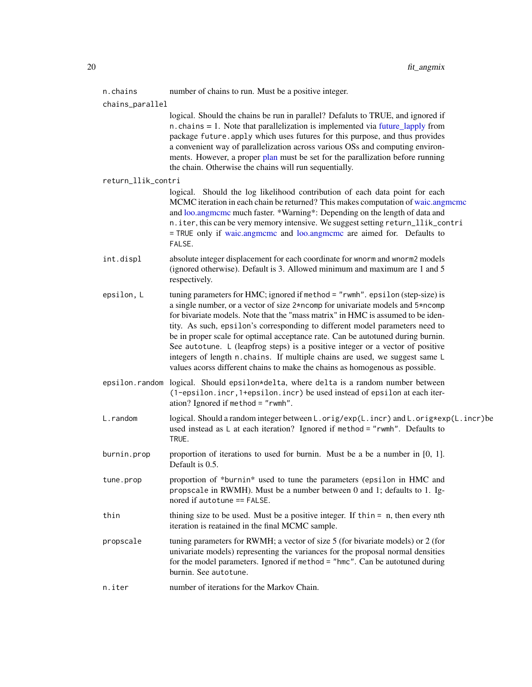<span id="page-19-0"></span>n.chains number of chains to run. Must be a positive integer.

chains\_parallel

logical. Should the chains be run in parallel? Defaluts to TRUE, and ignored if n.chains  $= 1$ . Note that parallelization is implemented via future lapply from package future. apply which uses futures for this purpose, and thus provides a convenient way of parallelization across various OSs and computing environments. However, a proper [plan](#page-0-0) must be set for the parallization before running the chain. Otherwise the chains will run sequentially.

#### return\_llik\_contri

logical. Should the log likelihood contribution of each data point for each MCMC iteration in each chain be returned? This makes computation of [waic.angmcmc](#page-60-1) and [loo.angmcmc](#page-33-1) much faster. \*Warning\*: Depending on the length of data and n.iter, this can be very memory intensive. We suggest setting return\_llik\_contri = TRUE only if [waic.angmcmc](#page-60-1) and [loo.angmcmc](#page-33-1) are aimed for. Defaults to FALSE.

- int.displ absolute integer displacement for each coordinate for wnorm and wnorm2 models (ignored otherwise). Default is 3. Allowed minimum and maximum are 1 and 5 respectively.
- epsilon, L tuning parameters for HMC; ignored if method = "rwmh". epsilon (step-size) is a single number, or a vector of size 2\*ncomp for univariate models and 5\*ncomp for bivariate models. Note that the "mass matrix" in HMC is assumed to be identity. As such, epsilon's corresponding to different model parameters need to be in proper scale for optimal acceptance rate. Can be autotuned during burnin. See autotune. L (leapfrog steps) is a positive integer or a vector of positive integers of length n.chains. If multiple chains are used, we suggest same L values acorss different chains to make the chains as homogenous as possible.
- epsilon.random logical. Should epsilon\*delta, where delta is a random number between (1-epsilon.incr,1+epsilon.incr) be used instead of epsilon at each iteration? Ignored if method = "rwmh".
- L.random logical. Should a random integer between L.orig/exp(L.incr) and L.orig\*exp(L.incr)be used instead as L at each iteration? Ignored if method = "rwmh". Defaults to TRUE.
- burnin.prop proportion of iterations to used for burnin. Must be a be a number in  $[0, 1]$ . Default is 0.5.
- tune.prop proportion of \*burnin\* used to tune the parameters (epsilon in HMC and propscale in RWMH). Must be a number between 0 and 1; defaults to 1. Ignored if autotune == FALSE.
- thin thining size to be used. Must be a positive integer. If thin = n, then every nth iteration is reatained in the final MCMC sample.
- propscale tuning parameters for RWMH; a vector of size 5 (for bivariate models) or 2 (for univariate models) representing the variances for the proposal normal densities for the model parameters. Ignored if method = "hmc". Can be autotuned during burnin. See autotune.
- n.iter number of iterations for the Markov Chain.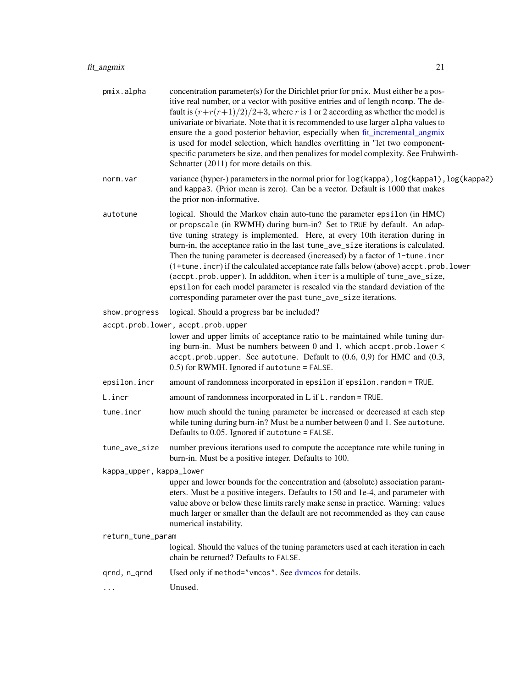<span id="page-20-0"></span>

| pmix.alpha               | concentration parameter(s) for the Dirichlet prior for pmix. Must either be a pos-<br>itive real number, or a vector with positive entries and of length ncomp. The de-<br>fault is $(r+r(r+1)/2)/2+3$ , where r is 1 or 2 according as whether the model is<br>univariate or bivariate. Note that it is recommended to use larger alpha values to<br>ensure the a good posterior behavior, especially when fit_incremental_angmix<br>is used for model selection, which handles overfitting in "let two component-<br>specific parameters be size, and then penalizes for model complexity. See Fruhwirth-<br>Schnatter (2011) for more details on this.                                                                             |
|--------------------------|---------------------------------------------------------------------------------------------------------------------------------------------------------------------------------------------------------------------------------------------------------------------------------------------------------------------------------------------------------------------------------------------------------------------------------------------------------------------------------------------------------------------------------------------------------------------------------------------------------------------------------------------------------------------------------------------------------------------------------------|
| norm.var                 | variance (hyper-) parameters in the normal prior for $log(kappa)$ , $log(kappa)$ , $log(kappa)$ , $log(kappa)$<br>and kappa3. (Prior mean is zero). Can be a vector. Default is 1000 that makes<br>the prior non-informative.                                                                                                                                                                                                                                                                                                                                                                                                                                                                                                         |
| autotune                 | logical. Should the Markov chain auto-tune the parameter epsilon (in HMC)<br>or propscale (in RWMH) during burn-in? Set to TRUE by default. An adap-<br>tive tuning strategy is implemented. Here, at every 10th iteration during in<br>burn-in, the acceptance ratio in the last tune_ave_size iterations is calculated.<br>Then the tuning parameter is decreased (increased) by a factor of 1-tune.incr<br>(1+tune.incr) if the calculated acceptance rate falls below (above) accpt.prob.lower<br>(accpt.prob.upper). In addditon, when iter is a multiple of tune_ave_size,<br>epsilon for each model parameter is rescaled via the standard deviation of the<br>corresponding parameter over the past tune_ave_size iterations. |
| show.progress            | logical. Should a progress bar be included?                                                                                                                                                                                                                                                                                                                                                                                                                                                                                                                                                                                                                                                                                           |
|                          | accpt.prob.lower, accpt.prob.upper<br>lower and upper limits of acceptance ratio to be maintained while tuning dur-<br>ing burn-in. Must be numbers between 0 and 1, which accpt.prob.lower <<br>$accept.prob.upper. See autotune. Default to (0.6, 0.9) for HMC and (0.3,$<br>0.5) for RWMH. Ignored if autotune = FALSE.                                                                                                                                                                                                                                                                                                                                                                                                            |
| epsilon.incr             | amount of randomness incorporated in epsilon if epsilon. random = TRUE.                                                                                                                                                                                                                                                                                                                                                                                                                                                                                                                                                                                                                                                               |
| L.incr                   | amount of randomness incorporated in $L$ if $L$ . random = TRUE.                                                                                                                                                                                                                                                                                                                                                                                                                                                                                                                                                                                                                                                                      |
| tune.incr                | how much should the tuning parameter be increased or decreased at each step<br>while tuning during burn-in? Must be a number between 0 and 1. See autotune.<br>Defaults to 0.05. Ignored if autotune = FALSE.                                                                                                                                                                                                                                                                                                                                                                                                                                                                                                                         |
| tune_ave_size            | number previous iterations used to compute the acceptance rate while tuning in<br>burn-in. Must be a positive integer. Defaults to 100.                                                                                                                                                                                                                                                                                                                                                                                                                                                                                                                                                                                               |
| kappa_upper, kappa_lower |                                                                                                                                                                                                                                                                                                                                                                                                                                                                                                                                                                                                                                                                                                                                       |
|                          | upper and lower bounds for the concentration and (absolute) association param-<br>eters. Must be a positive integers. Defaults to 150 and 1e-4, and parameter with<br>value above or below these limits rarely make sense in practice. Warning: values<br>much larger or smaller than the default are not recommended as they can cause<br>numerical instability.                                                                                                                                                                                                                                                                                                                                                                     |
| return_tune_param        |                                                                                                                                                                                                                                                                                                                                                                                                                                                                                                                                                                                                                                                                                                                                       |
|                          | logical. Should the values of the tuning parameters used at each iteration in each<br>chain be returned? Defaults to FALSE.                                                                                                                                                                                                                                                                                                                                                                                                                                                                                                                                                                                                           |
| grnd, n_grnd             | Used only if method="vmcos". See dvmcos for details.                                                                                                                                                                                                                                                                                                                                                                                                                                                                                                                                                                                                                                                                                  |
| $\cdots$                 | Unused.                                                                                                                                                                                                                                                                                                                                                                                                                                                                                                                                                                                                                                                                                                                               |
|                          |                                                                                                                                                                                                                                                                                                                                                                                                                                                                                                                                                                                                                                                                                                                                       |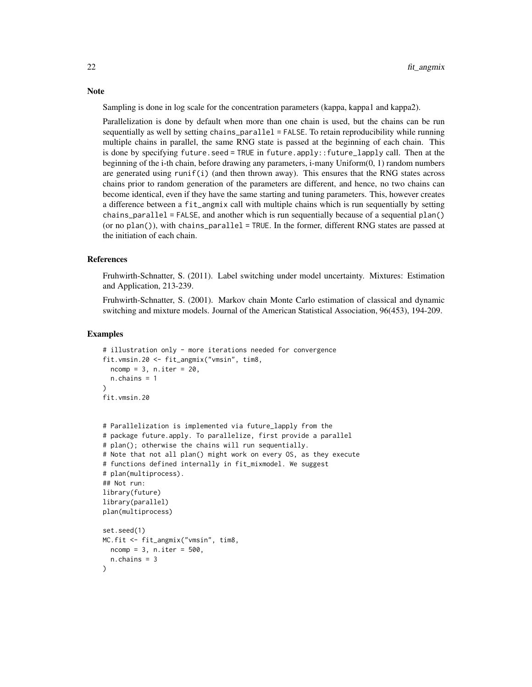Sampling is done in log scale for the concentration parameters (kappa, kappa1 and kappa2).

Parallelization is done by default when more than one chain is used, but the chains can be run sequentially as well by setting chains\_parallel = FALSE. To retain reproducibility while running multiple chains in parallel, the same RNG state is passed at the beginning of each chain. This is done by specifying future.seed = TRUE in future.apply::future\_lapply call. Then at the beginning of the i-th chain, before drawing any parameters, i-many Uniform(0, 1) random numbers are generated using runif(i) (and then thrown away). This ensures that the RNG states across chains prior to random generation of the parameters are different, and hence, no two chains can become identical, even if they have the same starting and tuning parameters. This, however creates a difference between a fit\_angmix call with multiple chains which is run sequentially by setting chains\_parallel = FALSE, and another which is run sequentially because of a sequential plan() (or no plan()), with chains\_parallel = TRUE. In the former, different RNG states are passed at the initiation of each chain.

#### References

Fruhwirth-Schnatter, S. (2011). Label switching under model uncertainty. Mixtures: Estimation and Application, 213-239.

Fruhwirth-Schnatter, S. (2001). Markov chain Monte Carlo estimation of classical and dynamic switching and mixture models. Journal of the American Statistical Association, 96(453), 194-209.

#### Examples

```
# illustration only - more iterations needed for convergence
fit.vmsin.20 <- fit_angmix("vmsin", tim8,
  ncomp = 3, n.iter = 20,n.chains = 1
\lambdafit.vmsin.20
# Parallelization is implemented via future_lapply from the
# package future.apply. To parallelize, first provide a parallel
# plan(); otherwise the chains will run sequentially.
# Note that not all plan() might work on every OS, as they execute
# functions defined internally in fit_mixmodel. We suggest
# plan(multiprocess).
## Not run:
library(future)
library(parallel)
plan(multiprocess)
set.seed(1)
MC.fit <- fit_angmix("vmsin", tim8,
  ncomp = 3, n.iter = 500,n.chains = 3
)
```
#### **Note**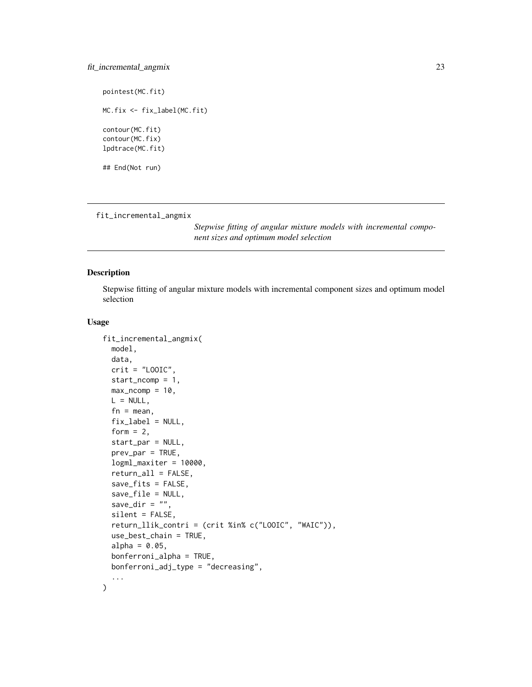## <span id="page-22-0"></span>fit\_incremental\_angmix 23

pointest(MC.fit)

MC.fix <- fix\_label(MC.fit)

contour(MC.fit) contour(MC.fix) lpdtrace(MC.fit)

## End(Not run)

<span id="page-22-1"></span>fit\_incremental\_angmix

*Stepwise fitting of angular mixture models with incremental component sizes and optimum model selection*

## Description

Stepwise fitting of angular mixture models with incremental component sizes and optimum model selection

#### Usage

```
fit_incremental_angmix(
 model,
 data,
 crit = "LOOIC",start_ncomp = 1,
 max\_ncomp = 10,
 L = NULL,fn = mean,
  fix\_label = NULL,form = 2,
  start_par = NULL,
 prev\_par = TRUE,logml_maxiter = 10000,
  return_all = FALSE,
  save_fits = FALSE,
  save_file = NULL,
  save_dir = ",
  silent = FALSE,
  return_llik_contri = (crit %in% c("LOOIC", "WAIC")),
  use_best_chain = TRUE,
  alpha = 0.05,
 bonferroni_alpha = TRUE,
 bonferroni_adj_type = "decreasing",
  ...
\mathcal{L}
```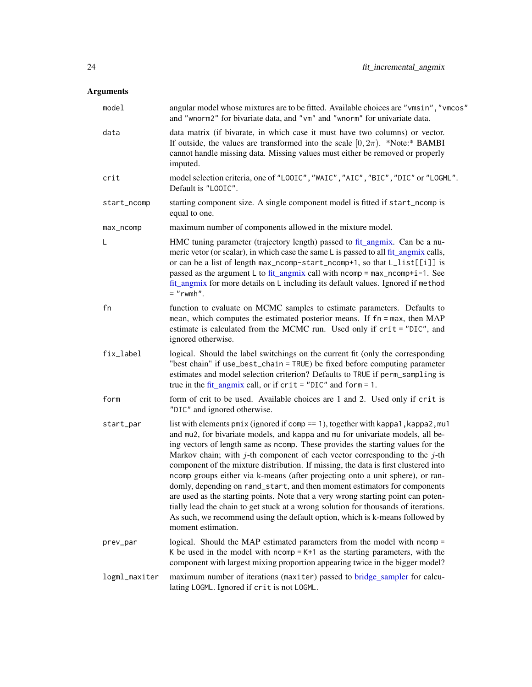<span id="page-23-0"></span>

| model         | angular model whose mixtures are to be fitted. Available choices are "vmsin", "vmcos"<br>and "wnorm2" for bivariate data, and "vm" and "wnorm" for univariate data.                                                                                                                                                                                                                                                                                                                                                                                                                                                                                                                                                                                                                                                                                                                |  |
|---------------|------------------------------------------------------------------------------------------------------------------------------------------------------------------------------------------------------------------------------------------------------------------------------------------------------------------------------------------------------------------------------------------------------------------------------------------------------------------------------------------------------------------------------------------------------------------------------------------------------------------------------------------------------------------------------------------------------------------------------------------------------------------------------------------------------------------------------------------------------------------------------------|--|
| data          | data matrix (if bivarate, in which case it must have two columns) or vector.<br>If outside, the values are transformed into the scale $[0, 2\pi)$ . *Note:* BAMBI<br>cannot handle missing data. Missing values must either be removed or properly<br>imputed.                                                                                                                                                                                                                                                                                                                                                                                                                                                                                                                                                                                                                     |  |
| crit          | model selection criteria, one of "LOOIC", "WAIC", "AIC", "BIC", "DIC" or "LOGML".<br>Default is "LOOIC".                                                                                                                                                                                                                                                                                                                                                                                                                                                                                                                                                                                                                                                                                                                                                                           |  |
| start_ncomp   | starting component size. A single component model is fitted if start_ncomp is<br>equal to one.                                                                                                                                                                                                                                                                                                                                                                                                                                                                                                                                                                                                                                                                                                                                                                                     |  |
| max_ncomp     | maximum number of components allowed in the mixture model.                                                                                                                                                                                                                                                                                                                                                                                                                                                                                                                                                                                                                                                                                                                                                                                                                         |  |
| L             | HMC tuning parameter (trajectory length) passed to fit_angmix. Can be a nu-<br>meric vetor (or scalar), in which case the same L is passed to all fit_angmix calls,<br>or can be a list of length max_ncomp-start_ncomp+1, so that L_list[[i]] is<br>passed as the argument L to fit_angmix call with $ncomp = max_ncomp + i - 1$ . See<br>fit_angmix for more details on L including its default values. Ignored if method<br>$=$ "rwmh".                                                                                                                                                                                                                                                                                                                                                                                                                                         |  |
| fn            | function to evaluate on MCMC samples to estimate parameters. Defaults to<br>mean, which computes the estimated posterior means. If fn = max, then MAP<br>estimate is calculated from the MCMC run. Used only if crit = "DIC", and<br>ignored otherwise.                                                                                                                                                                                                                                                                                                                                                                                                                                                                                                                                                                                                                            |  |
| fix_label     | logical. Should the label switchings on the current fit (only the corresponding<br>"best chain" if use_best_chain = TRUE) be fixed before computing parameter<br>estimates and model selection criterion? Defaults to TRUE if perm_sampling is<br>true in the fit_angmix call, or if $crit = "DIC"$ and $form = 1$ .                                                                                                                                                                                                                                                                                                                                                                                                                                                                                                                                                               |  |
| form          | form of crit to be used. Available choices are 1 and 2. Used only if crit is<br>"DIC" and ignored otherwise.                                                                                                                                                                                                                                                                                                                                                                                                                                                                                                                                                                                                                                                                                                                                                                       |  |
| start_par     | list with elements pmix (ignored if comp == 1), together with kappa1, kappa2, mu1<br>and mu2, for bivariate models, and kappa and mu for univariate models, all be-<br>ing vectors of length same as ncomp. These provides the starting values for the<br>Markov chain; with $j$ -th component of each vector corresponding to the $j$ -th<br>component of the mixture distribution. If missing, the data is first clustered into<br>ncomp groups either via k-means (after projecting onto a unit sphere), or ran-<br>domly, depending on rand_start, and then moment estimators for components<br>are used as the starting points. Note that a very wrong starting point can poten-<br>tially lead the chain to get stuck at a wrong solution for thousands of iterations.<br>As such, we recommend using the default option, which is k-means followed by<br>moment estimation. |  |
| prev_par      | logical. Should the MAP estimated parameters from the model with ncomp =<br>K be used in the model with $ncomp = K+1$ as the starting parameters, with the<br>component with largest mixing proportion appearing twice in the bigger model?                                                                                                                                                                                                                                                                                                                                                                                                                                                                                                                                                                                                                                        |  |
| logml_maxiter | maximum number of iterations (maxiter) passed to bridge_sampler for calcu-<br>lating LOGML. Ignored if crit is not LOGML.                                                                                                                                                                                                                                                                                                                                                                                                                                                                                                                                                                                                                                                                                                                                                          |  |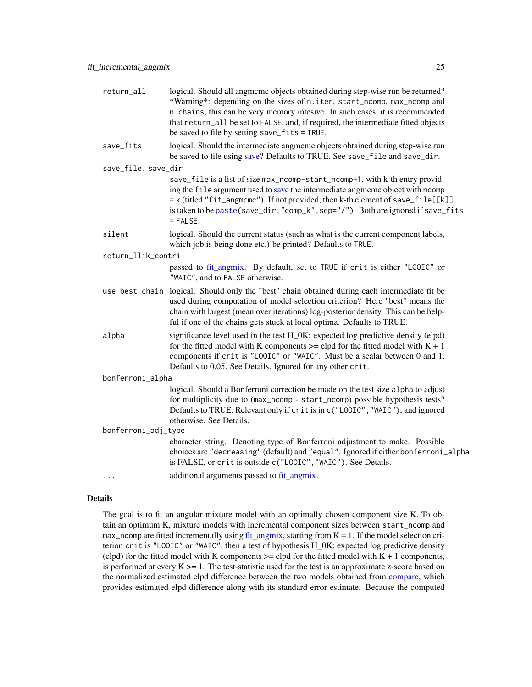<span id="page-24-0"></span>

| return_all          | logical. Should all angmeme objects obtained during step-wise run be returned?<br>*Warning*: depending on the sizes of n.iter, start_ncomp, max_ncomp and<br>n. chains, this can be very memory intesive. In such cases, it is recommended<br>that return_all be set to FALSE, and, if required, the intermediate fitted objects<br>be saved to file by setting save_fits = TRUE. |
|---------------------|-----------------------------------------------------------------------------------------------------------------------------------------------------------------------------------------------------------------------------------------------------------------------------------------------------------------------------------------------------------------------------------|
| save_fits           | logical. Should the intermediate angmcmc objects obtained during step-wise run<br>be saved to file using save? Defaults to TRUE. See save_file and save_dir.                                                                                                                                                                                                                      |
| save_file, save_dir |                                                                                                                                                                                                                                                                                                                                                                                   |
|                     | save_file is a list of size max_ncomp-start_ncomp+1, with k-th entry provid-<br>ing the file argument used to save the intermediate angmome object with normal<br>= k(titled "fit_angmcmc"). If not provided, then k-th element of save_file[[k]]<br>is taken to be paste (save_dir, "comp_k", sep="/"). Both are ignored if save_fits<br>$=$ FALSE.                              |
| silent              | logical. Should the current status (such as what is the current component labels,<br>which job is being done etc.) be printed? Defaults to TRUE.                                                                                                                                                                                                                                  |
| return_llik_contri  |                                                                                                                                                                                                                                                                                                                                                                                   |
|                     | passed to fit_angmix. By default, set to TRUE if crit is either "LOOIC" or<br>"WAIC", and to FALSE otherwise.                                                                                                                                                                                                                                                                     |
|                     | use_best_chain logical. Should only the "best" chain obtained during each intermediate fit be<br>used during computation of model selection criterion? Here "best" means the<br>chain with largest (mean over iterations) log-posterior density. This can be help-<br>ful if one of the chains gets stuck at local optima. Defaults to TRUE.                                      |
| alpha               | significance level used in the test H_0K: expected log predictive density (elpd)<br>for the fitted model with K components $\ge$ = elpd for the fitted model with K + 1<br>components if crit is "LOOIC" or "WAIC". Must be a scalar between 0 and 1.<br>Defaults to 0.05. See Details. Ignored for any other crit.                                                               |
| bonferroni_alpha    |                                                                                                                                                                                                                                                                                                                                                                                   |
|                     | logical. Should a Bonferroni correction be made on the test size alpha to adjust<br>for multiplicity due to (max_ncomp - start_ncomp) possible hypothesis tests?<br>Defaults to TRUE. Relevant only if crit is in c("LOOIC", "WAIC"), and ignored<br>otherwise. See Details.                                                                                                      |
| bonferroni_adj_type |                                                                                                                                                                                                                                                                                                                                                                                   |
|                     | character string. Denoting type of Bonferroni adjustment to make. Possible<br>choices are "decreasing" (default) and "equal". Ignored if either bonferroni_alpha<br>is FALSE, or crit is outside c("LOOIC", "WAIC"). See Details.                                                                                                                                                 |
| .                   | additional arguments passed to fit_angmix.                                                                                                                                                                                                                                                                                                                                        |
|                     |                                                                                                                                                                                                                                                                                                                                                                                   |

## Details

The goal is to fit an angular mixture model with an optimally chosen component size K. To obtain an optimum K, mixture models with incremental component sizes between start\_ncomp and max\_ncomp are fitted incrementally using [fit\\_angmix,](#page-17-1) starting from  $K = 1$ . If the model selection criterion crit is "LOOIC" or "WAIC", then a test of hypothesis H\_0K: expected log predictive density (elpd) for the fitted model with K components  $\geq$  elpd for the fitted model with  $K + 1$  components, is performed at every  $K \geq 1$ . The test-statistic used for the test is an approximate z-score based on the normalized estimated elpd difference between the two models obtained from [compare,](#page-0-0) which provides estimated elpd difference along with its standard error estimate. Because the computed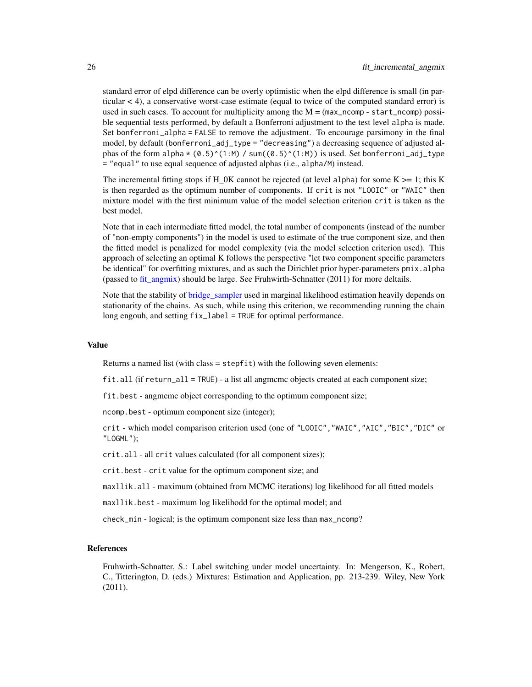standard error of elpd difference can be overly optimistic when the elpd difference is small (in particular < 4), a conservative worst-case estimate (equal to twice of the computed standard error) is used in such cases. To account for multiplicity among the  $M = (max\_ncomp - start\_ncomp)$  possible sequential tests performed, by default a Bonferroni adjustment to the test level alpha is made. Set bonferroni\_alpha = FALSE to remove the adjustment. To encourage parsimony in the final model, by default (bonferroni\_adj\_type = "decreasing") a decreasing sequence of adjusted alphas of the form alpha  $*(0.5)^{\wedge}(1:M)$  / sum( $(0.5)^{\wedge}(1:M)$ ) is used. Set bonferroni\_adj\_type = "equal" to use equal sequence of adjusted alphas (i.e., alpha/M) instead.

The incremental fitting stops if  $H_0$ K cannot be rejected (at level alpha) for some  $K \ge 1$ ; this K is then regarded as the optimum number of components. If crit is not "LOOIC" or "WAIC" then mixture model with the first minimum value of the model selection criterion crit is taken as the best model.

Note that in each intermediate fitted model, the total number of components (instead of the number of "non-empty components") in the model is used to estimate of the true component size, and then the fitted model is penalized for model complexity (via the model selection criterion used). This approach of selecting an optimal K follows the perspective "let two component specific parameters be identical" for overfitting mixtures, and as such the Dirichlet prior hyper-parameters pmix.alpha (passed to fit angmix) should be large. See Fruhwirth-Schnatter  $(2011)$  for more deltails.

Note that the stability of bridge sampler used in marginal likelihood estimation heavily depends on stationarity of the chains. As such, while using this criterion, we recommending running the chain long engouh, and setting fix\_label = TRUE for optimal performance.

#### Value

Returns a named list (with class = stepfit) with the following seven elements:

fit.all (if return\_all = TRUE) - a list all angmcmc objects created at each component size;

fit.best - angmcmc object corresponding to the optimum component size;

ncomp.best - optimum component size (integer);

crit - which model comparison criterion used (one of "LOOIC","WAIC","AIC","BIC","DIC" or "LOGML");

crit.all - all crit values calculated (for all component sizes);

crit.best - crit value for the optimum component size; and

maxllik.all - maximum (obtained from MCMC iterations) log likelihood for all fitted models

maxllik.best - maximum log likelihodd for the optimal model; and

check\_min - logical; is the optimum component size less than max\_ncomp?

#### References

Fruhwirth-Schnatter, S.: Label switching under model uncertainty. In: Mengerson, K., Robert, C., Titterington, D. (eds.) Mixtures: Estimation and Application, pp. 213-239. Wiley, New York (2011).

<span id="page-25-0"></span>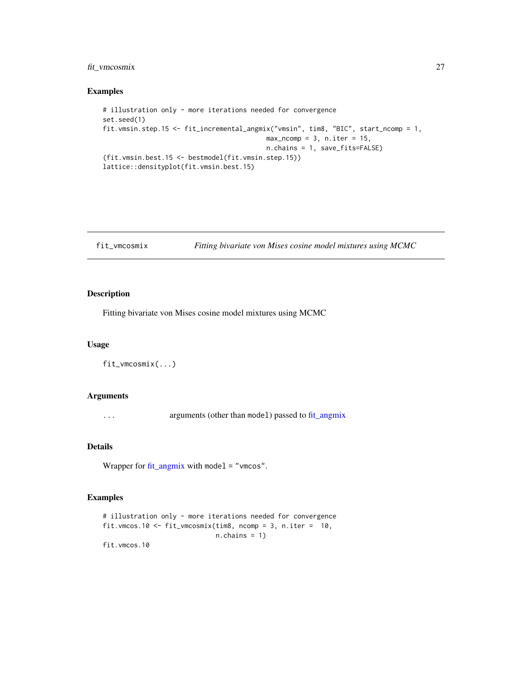## <span id="page-26-0"></span>fit\_vmcosmix 27

## Examples

```
# illustration only - more iterations needed for convergence
set.seed(1)
fit.vmsin.step.15 <- fit_incremental_angmix("vmsin", tim8, "BIC", start_ncomp = 1,
                                          max\_ncomp = 3, n.iter = 15,n.chains = 1, save_fits=FALSE)
(fit.vmsin.best.15 <- bestmodel(fit.vmsin.step.15))
lattice::densityplot(fit.vmsin.best.15)
```

```
fit_vmcosmix Fitting bivariate von Mises cosine model mixtures using MCMC
```
## Description

Fitting bivariate von Mises cosine model mixtures using MCMC

## Usage

fit\_vmcosmix(...)

## Arguments

... arguments (other than model) passed to [fit\\_angmix](#page-17-1)

#### Details

Wrapper for [fit\\_angmix](#page-17-1) with model = "vmcos".

## Examples

```
# illustration only - more iterations needed for convergence
fit.vmcos.10 <- fit_vmcosmix(tim8, ncomp = 3, n.iter = 10,
                            n.chains = 1)
fit.vmcos.10
```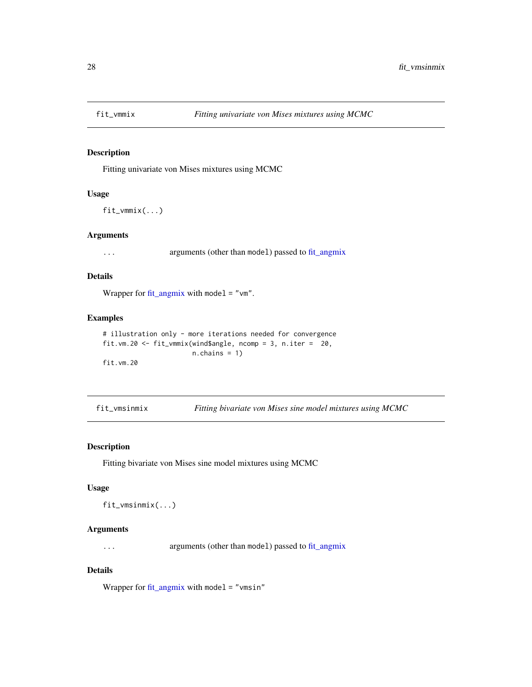<span id="page-27-0"></span>

## Description

Fitting univariate von Mises mixtures using MCMC

## Usage

fit\_vmmix(...)

## Arguments

... arguments (other than model) passed to [fit\\_angmix](#page-17-1)

## Details

Wrapper for [fit\\_angmix](#page-17-1) with model = " $vm$ ".

#### Examples

```
# illustration only - more iterations needed for convergence
fit.vm.20 <- fit_vmmix(wind$angle, ncomp = 3, n.iter = 20,
                      n.chains = 1)
fit.vm.20
```
fit\_vmsinmix *Fitting bivariate von Mises sine model mixtures using MCMC*

#### Description

Fitting bivariate von Mises sine model mixtures using MCMC

#### Usage

fit\_vmsinmix(...)

## Arguments

... arguments (other than model) passed to [fit\\_angmix](#page-17-1)

#### Details

Wrapper for  $fit\_angmix$  with model = "vmsin"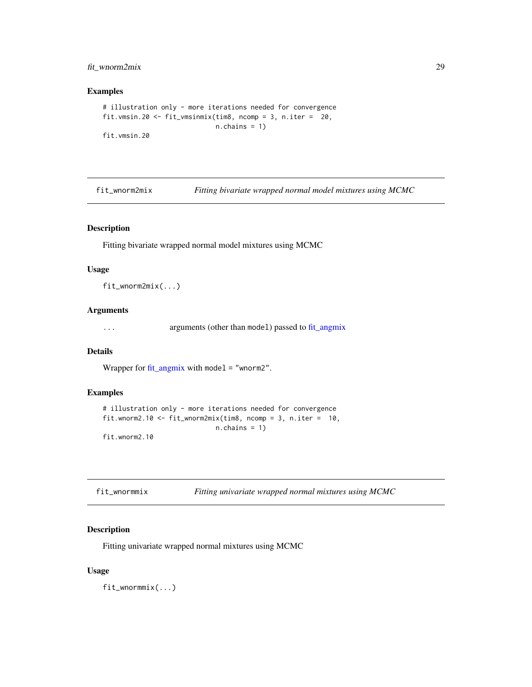## <span id="page-28-0"></span>fit\_wnorm2mix 29

## Examples

```
# illustration only - more iterations needed for convergence
fit.vmsin.20 <- fit_vmsinmix(tim8, ncomp = 3, n.iter = 20,
                            n.chains = 1)
fit.vmsin.20
```
<span id="page-28-2"></span>fit\_wnorm2mix *Fitting bivariate wrapped normal model mixtures using MCMC*

## Description

Fitting bivariate wrapped normal model mixtures using MCMC

#### Usage

fit\_wnorm2mix(...)

## Arguments

... arguments (other than model) passed to [fit\\_angmix](#page-17-1)

#### Details

Wrapper for [fit\\_angmix](#page-17-1) with model = "wnorm2".

## Examples

```
# illustration only - more iterations needed for convergence
fit.wnorm2.10 <- fit_wnorm2mix(tim8, ncomp = 3, n.iter = 10,
                            n.chains = 1)
fit.wnorm2.10
```
<span id="page-28-1"></span>

| fit_wnormmix | Fitting univariate wrapped normal mixtures using MCMC |
|--------------|-------------------------------------------------------|
|              |                                                       |

## Description

Fitting univariate wrapped normal mixtures using MCMC

#### Usage

fit\_wnormmix(...)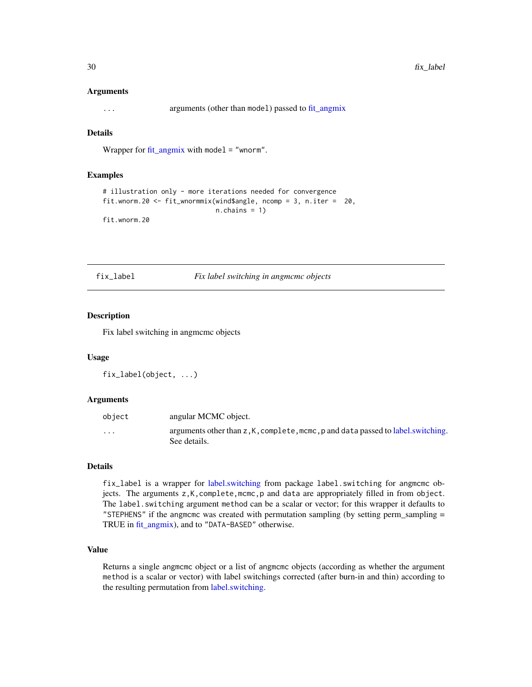<span id="page-29-0"></span>... arguments (other than model) passed to [fit\\_angmix](#page-17-1)

## Details

Wrapper for [fit\\_angmix](#page-17-1) with model = "wnorm".

#### Examples

```
# illustration only - more iterations needed for convergence
fit.wnorm.20 <- fit_wnormmix(wind$angle, ncomp = 3, n.iter = 20,
                            n.chains = 1)
fit.wnorm.20
```
fix\_label *Fix label switching in angmcmc objects*

#### Description

Fix label switching in angmcmc objects

## Usage

```
fix_label(object, ...)
```
#### Arguments

| object   | angular MCMC object.                                                                             |
|----------|--------------------------------------------------------------------------------------------------|
| $\cdots$ | arguments other than z, K, complete, mcmc, p and data passed to label.switching.<br>See details. |

## Details

fix\_label is a wrapper for [label.switching](#page-0-0) from package label.switching for angmcmc objects. The arguments z,K,complete,mcmc,p and data are appropriately filled in from object. The label.switching argument method can be a scalar or vector; for this wrapper it defaults to "STEPHENS" if the angmcmc was created with permutation sampling (by setting perm\_sampling = TRUE in [fit\\_angmix\)](#page-17-1), and to "DATA-BASED" otherwise.

## Value

Returns a single angmcmc object or a list of angmcmc objects (according as whether the argument method is a scalar or vector) with label switchings corrected (after burn-in and thin) according to the resulting permutation from [label.switching.](#page-0-0)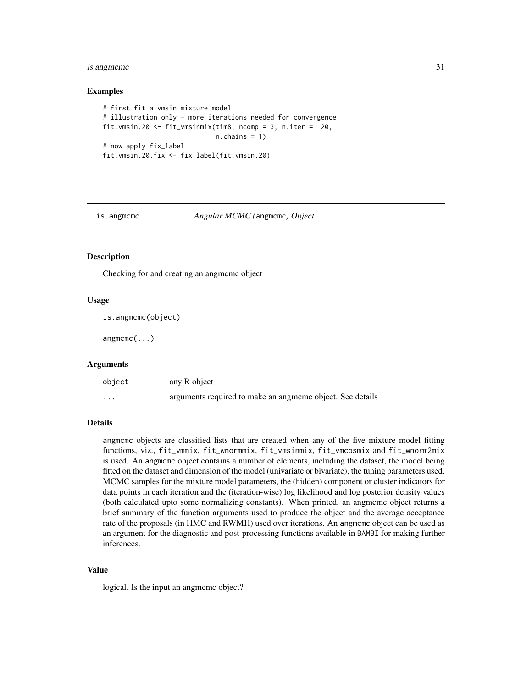## <span id="page-30-0"></span>is.angmcmc 31

#### Examples

```
# first fit a vmsin mixture model
# illustration only - more iterations needed for convergence
fit.vmsin.20 <- fit_vmsinmix(tim8, ncomp = 3, n.iter = 20,
                             n.chains = 1)
# now apply fix_label
fit.vmsin.20.fix <- fix_label(fit.vmsin.20)
```
#### is.angmcmc *Angular MCMC (*angmcmc*) Object*

## Description

Checking for and creating an angmcmc object

#### Usage

is.angmcmc(object)

angmcmc(...)

#### Arguments

| object   | any R object                                              |
|----------|-----------------------------------------------------------|
| $\cdots$ | arguments required to make an angmome object. See details |

#### Details

angmcmc objects are classified lists that are created when any of the five mixture model fitting functions, viz., fit\_vmmix, fit\_wnormmix, fit\_vmsinmix, fit\_vmcosmix and fit\_wnorm2mix is used. An angmcmc object contains a number of elements, including the dataset, the model being fitted on the dataset and dimension of the model (univariate or bivariate), the tuning parameters used, MCMC samples for the mixture model parameters, the (hidden) component or cluster indicators for data points in each iteration and the (iteration-wise) log likelihood and log posterior density values (both calculated upto some normalizing constants). When printed, an angmcmc object returns a brief summary of the function arguments used to produce the object and the average acceptance rate of the proposals (in HMC and RWMH) used over iterations. An angmeme object can be used as an argument for the diagnostic and post-processing functions available in BAMBI for making further inferences.

#### Value

logical. Is the input an angmcmc object?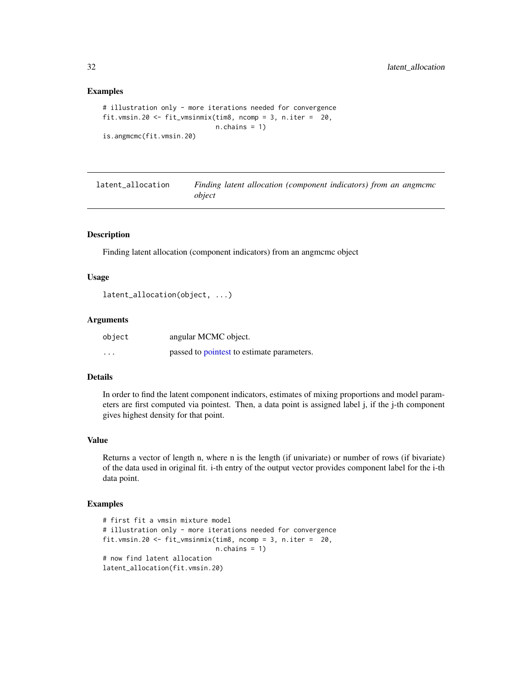#### Examples

```
# illustration only - more iterations needed for convergence
fit.vmsin.20 <- fit_vmsinmix(tim8, ncomp = 3, n.iter = 20,
                             n.chains = 1)
is.angmcmc(fit.vmsin.20)
```

| latent_allocation | Finding latent allocation (component indicators) from an angmement |
|-------------------|--------------------------------------------------------------------|
|                   | object                                                             |

## Description

Finding latent allocation (component indicators) from an angmcmc object

## Usage

```
latent_allocation(object, ...)
```
#### Arguments

| object   | angular MCMC object.                       |
|----------|--------------------------------------------|
| $\cdots$ | passed to pointest to estimate parameters. |

## Details

In order to find the latent component indicators, estimates of mixing proportions and model parameters are first computed via pointest. Then, a data point is assigned label j, if the j-th component gives highest density for that point.

## Value

Returns a vector of length n, where n is the length (if univariate) or number of rows (if bivariate) of the data used in original fit. i-th entry of the output vector provides component label for the i-th data point.

## Examples

```
# first fit a vmsin mixture model
# illustration only - more iterations needed for convergence
fit.vmsin.20 <- fit_vmsinmix(tim8, ncomp = 3, n.iter = 20,
                            n.chains = 1)
# now find latent allocation
latent_allocation(fit.vmsin.20)
```
<span id="page-31-0"></span>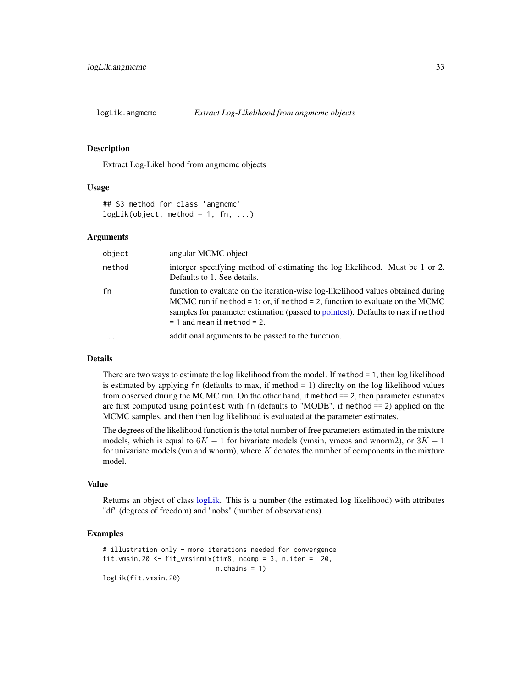<span id="page-32-0"></span>

#### Description

Extract Log-Likelihood from angmcmc objects

#### Usage

```
## S3 method for class 'angmcmc'
logLik(object, method = 1, fn, ...)
```
#### Arguments

| object | angular MCMC object.                                                                                                                                                                                                                                                                    |
|--------|-----------------------------------------------------------------------------------------------------------------------------------------------------------------------------------------------------------------------------------------------------------------------------------------|
| method | interger specifying method of estimating the log likelihood. Must be 1 or 2.<br>Defaults to 1. See details.                                                                                                                                                                             |
| fn     | function to evaluate on the iteration-wise log-likelihood values obtained during<br>MCMC run if method = 1; or, if method = 2, function to evaluate on the MCMC<br>samples for parameter estimation (passed to pointest). Defaults to max if method<br>$= 1$ and mean if method $= 2$ . |
|        | additional arguments to be passed to the function.                                                                                                                                                                                                                                      |

#### Details

There are two ways to estimate the log likelihood from the model. If method = 1, then log likelihood is estimated by applying  $fn$  (defaults to max, if method  $= 1$ ) direclty on the log likelihood values from observed during the MCMC run. On the other hand, if method == 2, then parameter estimates are first computed using pointest with fn (defaults to "MODE", if method == 2) applied on the MCMC samples, and then then log likelihood is evaluated at the parameter estimates.

The degrees of the likelihood function is the total number of free parameters estimated in the mixture models, which is equal to  $6K - 1$  for bivariate models (vmsin, vmcos and wnorm2), or  $3K - 1$ for univariate models (vm and wnorm), where  $K$  denotes the number of components in the mixture model.

#### Value

Returns an object of class [logLik.](#page-0-0) This is a number (the estimated log likelihood) with attributes "df" (degrees of freedom) and "nobs" (number of observations).

## Examples

```
# illustration only - more iterations needed for convergence
fit.vmsin.20 <- fit_vmsinmix(tim8, ncomp = 3, n.iter = 20,
                            n.chains = 1)
logLik(fit.vmsin.20)
```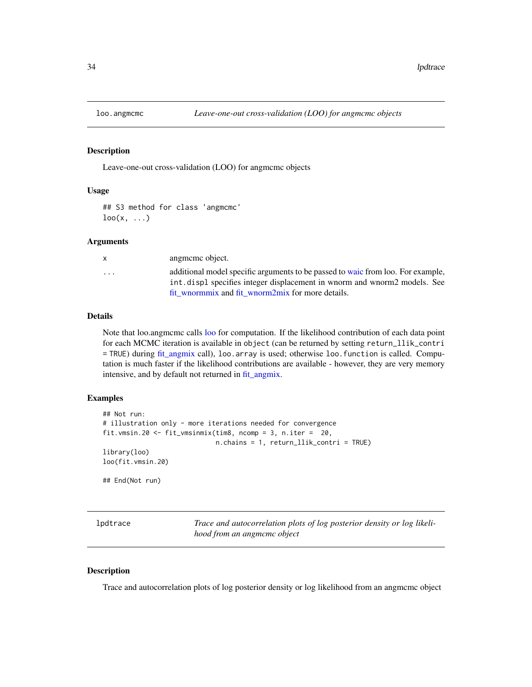<span id="page-33-1"></span><span id="page-33-0"></span>

#### Description

Leave-one-out cross-validation (LOO) for angmcmc objects

## Usage

## S3 method for class 'angmcmc'  $\text{loo}(x, \ldots)$ 

## **Arguments**

| X | angmeme object.                                                                                                                                              |
|---|--------------------------------------------------------------------------------------------------------------------------------------------------------------|
| . | additional model specific arguments to be passed to waic from loo. For example,<br>int, displ specifies integer displacement in wnorm and wnorm2 models. See |
|   | fit wnormmix and fit wnorm2mix for more details.                                                                                                             |

## Details

Note that loo.angmcmc calls [loo](#page-0-0) for computation. If the likelihood contribution of each data point for each MCMC iteration is available in object (can be returned by setting return\_llik\_contri = TRUE) during [fit\\_angmix](#page-17-1) call), loo.array is used; otherwise loo.function is called. Computation is much faster if the likelihood contributions are available - however, they are very memory intensive, and by default not returned in [fit\\_angmix.](#page-17-1)

#### Examples

```
## Not run:
# illustration only - more iterations needed for convergence
fit.vmsin.20 <- fit_vmsinmix(tim8, ncomp = 3, n.iter = 20,
                             n.chains = 1, return_llik_contri = TRUE)
library(loo)
loo(fit.vmsin.20)
## End(Not run)
```

| lpdtrace |  |
|----------|--|
|----------|--|

Trace and autocorrelation plots of log posterior density or log likeli*hood from an angmcmc object*

#### Description

Trace and autocorrelation plots of log posterior density or log likelihood from an angmcmc object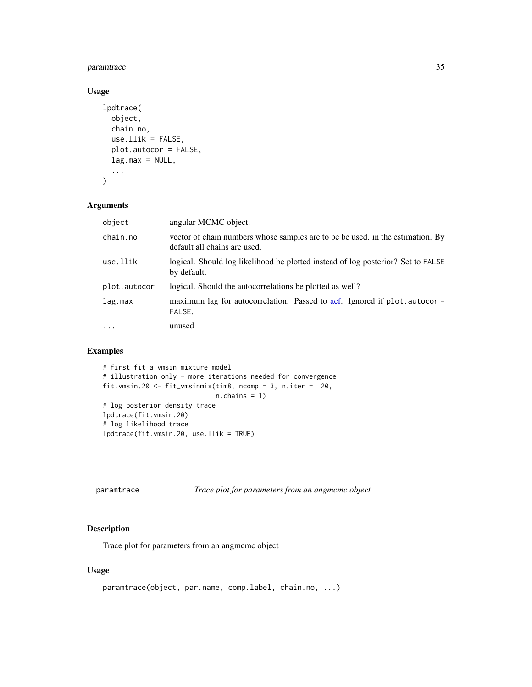## <span id="page-34-0"></span>paramtrace 35

## Usage

```
lpdtrace(
  object,
  chain.no,
  use.11ik = FALSE,plot.autocor = FALSE,
  lag.max = NULL,...
\mathcal{L}
```
## Arguments

| object       | angular MCMC object.                                                                                           |
|--------------|----------------------------------------------------------------------------------------------------------------|
| chain.no     | vector of chain numbers whose samples are to be be used. in the estimation. By<br>default all chains are used. |
| use.llik     | logical. Should log likelihood be plotted instead of log posterior? Set to FALSE<br>by default.                |
| plot.autocor | logical. Should the autocorrelations be plotted as well?                                                       |
| lag.max      | maximum lag for autocorrelation. Passed to acf. Ignored if plot autocor =<br>FALSE.                            |
| $\cdot$      | unused                                                                                                         |

## Examples

```
# first fit a vmsin mixture model
# illustration only - more iterations needed for convergence
fit.vmsin.20 <- fit_vmsinmix(tim8, ncomp = 3, n.iter = 20,
                            n.chains = 1)
# log posterior density trace
lpdtrace(fit.vmsin.20)
# log likelihood trace
lpdtrace(fit.vmsin.20, use.llik = TRUE)
```

| paramtrace | Trace plot for parameters from an angmcmc object |  |
|------------|--------------------------------------------------|--|
|            |                                                  |  |

## Description

Trace plot for parameters from an angmcmc object

#### Usage

```
paramtrace(object, par.name, comp.label, chain.no, ...)
```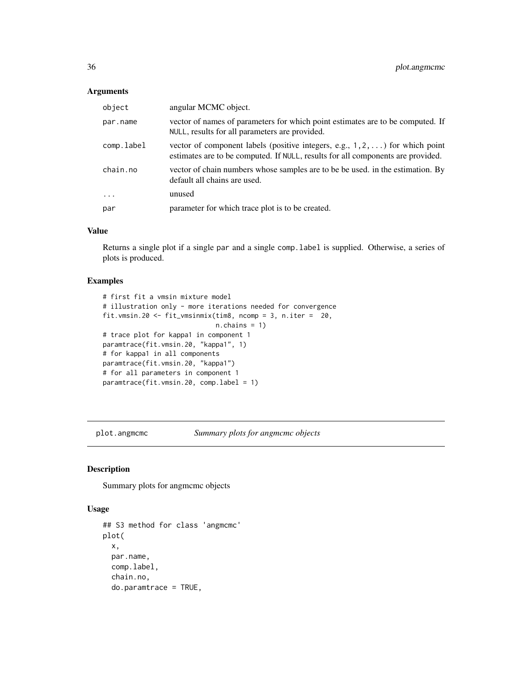<span id="page-35-0"></span>

| object     | angular MCMC object.                                                                                                                                                     |
|------------|--------------------------------------------------------------------------------------------------------------------------------------------------------------------------|
| par.name   | vector of names of parameters for which point estimates are to be computed. If<br>NULL, results for all parameters are provided.                                         |
| comp.label | vector of component labels (positive integers, e.g., $1, 2, \ldots$ ) for which point<br>estimates are to be computed. If NULL, results for all components are provided. |
| chain.no   | vector of chain numbers whose samples are to be be used. in the estimation. By<br>default all chains are used.                                                           |
| $\ddots$ . | unused                                                                                                                                                                   |
| par        | parameter for which trace plot is to be created.                                                                                                                         |

#### Value

Returns a single plot if a single par and a single comp.label is supplied. Otherwise, a series of plots is produced.

## Examples

```
# first fit a vmsin mixture model
# illustration only - more iterations needed for convergence
fit.vmsin.20 <- fit_vmsinmix(tim8, ncomp = 3, n.iter = 20,
                             n.chains = 1)
# trace plot for kappa1 in component 1
paramtrace(fit.vmsin.20, "kappa1", 1)
# for kappa1 in all components
paramtrace(fit.vmsin.20, "kappa1")
# for all parameters in component 1
paramtrace(fit.vmsin.20, comp.label = 1)
```
plot.angmcmc *Summary plots for angmcmc objects*

#### Description

Summary plots for angmcmc objects

#### Usage

```
## S3 method for class 'angmcmc'
plot(
 x,
 par.name,
 comp.label,
  chain.no,
  do.paramtrace = TRUE,
```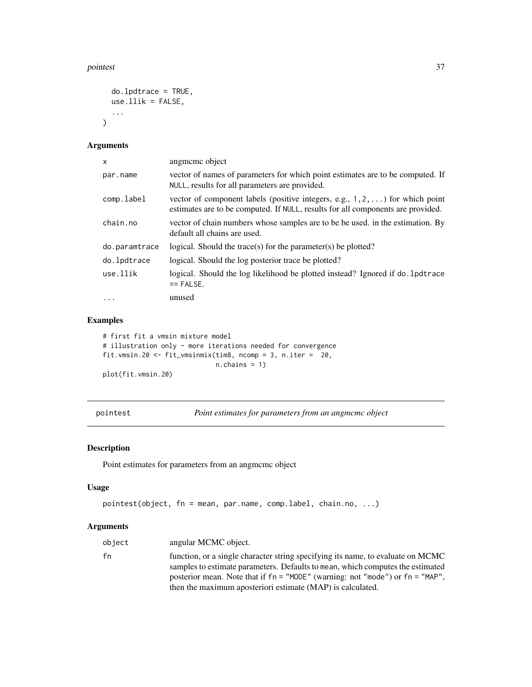#### <span id="page-36-0"></span>pointest 37

```
do.lpdtrace = TRUE,
  use.1lik = FALSE,
  ...
\mathcal{L}
```
## Arguments

| X             | angmeme object                                                                                                                                                           |
|---------------|--------------------------------------------------------------------------------------------------------------------------------------------------------------------------|
| par.name      | vector of names of parameters for which point estimates are to be computed. If<br>NULL, results for all parameters are provided.                                         |
| comp.label    | vector of component labels (positive integers, e.g., $1, 2, \ldots$ ) for which point<br>estimates are to be computed. If NULL, results for all components are provided. |
| chain.no      | vector of chain numbers whose samples are to be be used. in the estimation. By<br>default all chains are used.                                                           |
| do.paramtrace | logical. Should the trace(s) for the parameter(s) be plotted?                                                                                                            |
| do.lpdtrace   | logical. Should the log posterior trace be plotted?                                                                                                                      |
| use.llik      | logical. Should the log likelihood be plotted instead? Ignored if do. 1 pdtrace<br>$==$ FALSE.                                                                           |
| $\cdots$      | unused                                                                                                                                                                   |

## Examples

# first fit a vmsin mixture model # illustration only - more iterations needed for convergence fit.vmsin.20 <- fit\_vmsinmix(tim8, ncomp = 3, n.iter = 20, n.chains = 1) plot(fit.vmsin.20)

<span id="page-36-1"></span>pointest *Point estimates for parameters from an angmcmc object*

## Description

Point estimates for parameters from an angmcmc object

## Usage

```
pointest(object, fn = mean, par.name, comp.label, chain.no, ...)
```

| object | angular MCMC object.                                                                                                                                                                                                                                    |
|--------|---------------------------------------------------------------------------------------------------------------------------------------------------------------------------------------------------------------------------------------------------------|
| fn     | function, or a single character string specifying its name, to evaluate on MCMC<br>samples to estimate parameters. Defaults to mean, which computes the estimated<br>posterior mean. Note that if $fn = "MODE"$ (warning: not "mode") or $fn = "MAP"$ . |
|        | then the maximum aposteriori estimate (MAP) is calculated.                                                                                                                                                                                              |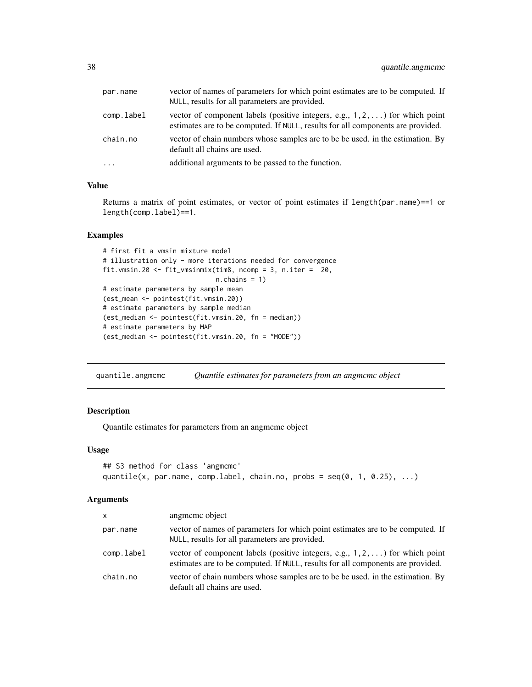<span id="page-37-0"></span>

| par.name   | vector of names of parameters for which point estimates are to be computed. If<br>NULL, results for all parameters are provided.                                         |
|------------|--------------------------------------------------------------------------------------------------------------------------------------------------------------------------|
| comp.label | vector of component labels (positive integers, e.g., $1, 2, \ldots$ ) for which point<br>estimates are to be computed. If NULL, results for all components are provided. |
| chain.no   | vector of chain numbers whose samples are to be be used. in the estimation. By<br>default all chains are used.                                                           |
| $\cdots$   | additional arguments to be passed to the function.                                                                                                                       |

### Value

Returns a matrix of point estimates, or vector of point estimates if length(par.name)==1 or length(comp.label)==1.

## Examples

```
# first fit a vmsin mixture model
# illustration only - more iterations needed for convergence
fit.vmsin.20 <- fit_vmsinmix(tim8, ncomp = 3, n.iter = 20,
                             n.chains = 1)
# estimate parameters by sample mean
(est_mean <- pointest(fit.vmsin.20))
# estimate parameters by sample median
(est_median <- pointest(fit.vmsin.20, fn = median))
# estimate parameters by MAP
(est_median <- pointest(fit.vmsin.20, fn = "MODE"))
```
quantile.angmcmc *Quantile estimates for parameters from an angmcmc object*

## Description

Quantile estimates for parameters from an angmcmc object

## Usage

```
## S3 method for class 'angmcmc'
quantile(x, par.name, comp.label, chain.no, probs = seq(0, 1, 0.25), ...)
```

| <b>X</b>   | angmeme object                                                                                                                                                           |
|------------|--------------------------------------------------------------------------------------------------------------------------------------------------------------------------|
| par.name   | vector of names of parameters for which point estimates are to be computed. If<br>NULL, results for all parameters are provided.                                         |
| comp.label | vector of component labels (positive integers, e.g., $1, 2, \ldots$ ) for which point<br>estimates are to be computed. If NULL, results for all components are provided. |
| chain.no   | vector of chain numbers whose samples are to be be used. in the estimation. By<br>default all chains are used.                                                           |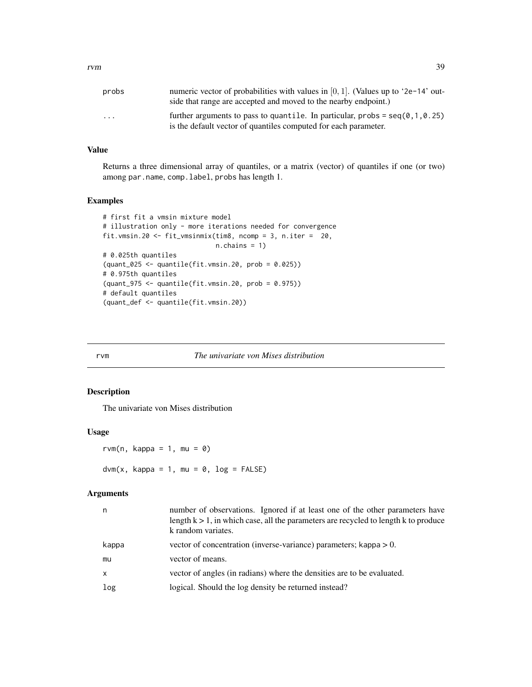<span id="page-38-0"></span>

| probs                   | numeric vector of probabilities with values in $[0, 1]$ . (Values up to '2e-14' out-<br>side that range are accepted and moved to the nearby endpoint.)          |
|-------------------------|------------------------------------------------------------------------------------------------------------------------------------------------------------------|
| $\cdot$ $\cdot$ $\cdot$ | further arguments to pass to quantile. In particular, $\text{probs} = \text{seq}(0, 1, 0.25)$<br>is the default vector of quantiles computed for each parameter. |

## Value

Returns a three dimensional array of quantiles, or a matrix (vector) of quantiles if one (or two) among par.name, comp.label, probs has length 1.

## Examples

```
# first fit a vmsin mixture model
# illustration only - more iterations needed for convergence
fit.vmsin.20 <- fit_vmsinmix(tim8, ncomp = 3, n.iter = 20,
                             n.chains = 1)
# 0.025th quantiles
(quant_025 <- quantile(fit.vmsin.20, prob = 0.025))
# 0.975th quantiles
(quant_975 <- quantile(fit.vmsin.20, prob = 0.975))
# default quantiles
(quant_def <- quantile(fit.vmsin.20))
```
#### rvm *The univariate von Mises distribution*

## Description

The univariate von Mises distribution

## Usage

rvm(n, kappa = 1, mu =  $\theta$ )  $dvm(x, kappa = 1, mu = 0, log = FALSE)$ 

| n     | number of observations. Ignored if at least one of the other parameters have<br>length $k > 1$ , in which case, all the parameters are recycled to length k to produce<br>k random variates. |
|-------|----------------------------------------------------------------------------------------------------------------------------------------------------------------------------------------------|
| kappa | vector of concentration (inverse-variance) parameters; kappa $> 0$ .                                                                                                                         |
| mu    | vector of means.                                                                                                                                                                             |
| X     | vector of angles (in radians) where the densities are to be evaluated.                                                                                                                       |
| log   | logical. Should the log density be returned instead?                                                                                                                                         |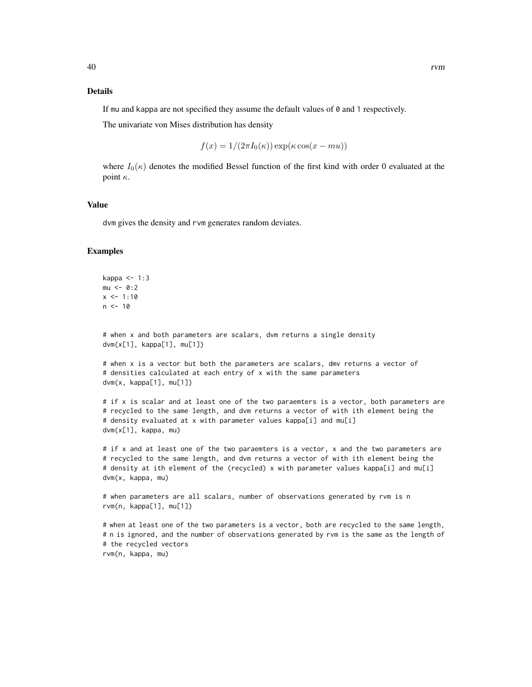#### Details

If mu and kappa are not specified they assume the default values of 0 and 1 respectively.

The univariate von Mises distribution has density

$$
f(x) = 1/(2\pi I_0(\kappa)) \exp(\kappa \cos(x - mu))
$$

where  $I_0(\kappa)$  denotes the modified Bessel function of the first kind with order 0 evaluated at the point  $\kappa$ .

## Value

dvm gives the density and rvm generates random deviates.

#### Examples

```
kappa <-1:3mu < -0:2x \le -1:10n < -10# when x and both parameters are scalars, dvm returns a single density
dvm(x[1], kappa[1], mu[1])
# when x is a vector but both the parameters are scalars, dmv returns a vector of
# densities calculated at each entry of x with the same parameters
dvm(x, kappa[1], mu[1])
# if x is scalar and at least one of the two paraemters is a vector, both parameters are
# recycled to the same length, and dvm returns a vector of with ith element being the
# density evaluated at x with parameter values kappa[i] and mu[i]
dvm(x[1], kappa, mu)
```
# if x and at least one of the two paraemters is a vector, x and the two parameters are # recycled to the same length, and dvm returns a vector of with ith element being the # density at ith element of the (recycled) x with parameter values kappa[i] and mu[i] dvm(x, kappa, mu)

```
# when parameters are all scalars, number of observations generated by rvm is n
rvm(n, kappa[1], mu[1])
```

```
# when at least one of the two parameters is a vector, both are recycled to the same length,
# n is ignored, and the number of observations generated by rvm is the same as the length of
# the recycled vectors
rvm(n, kappa, mu)
```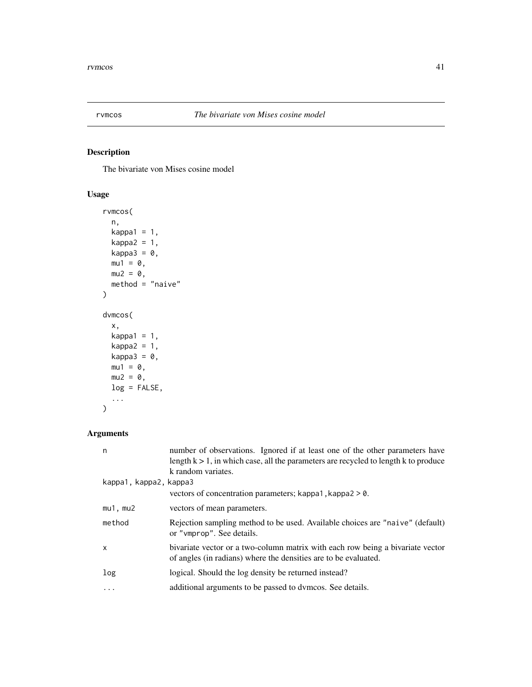<span id="page-40-0"></span>

## <span id="page-40-1"></span>Description

The bivariate von Mises cosine model

## Usage

```
rvmcos(
 n,
 kappa1 = 1,
 kappa2 = 1,
 kappa3 = 0,
 mu1 = 0,
 mu2 = 0,
 method = "naive")
dvmcos(
 x,
 kappa1 = 1,
 kappa2 = 1,
 kappa3 = \theta,
 mu1 = 0,mu2 = 0,
 log = FALSE,
  ...
)
```

| n                      | number of observations. Ignored if at least one of the other parameters have<br>length $k > 1$ , in which case, all the parameters are recycled to length k to produce<br>k random variates. |
|------------------------|----------------------------------------------------------------------------------------------------------------------------------------------------------------------------------------------|
| kappa1, kappa2, kappa3 |                                                                                                                                                                                              |
|                        | vectors of concentration parameters; kappa1, kappa2 $> 0$ .                                                                                                                                  |
| $mu1$ , $mu2$          | vectors of mean parameters.                                                                                                                                                                  |
| method                 | Rejection sampling method to be used. Available choices are "naive" (default)<br>or "vmprop". See details.                                                                                   |
| $\mathsf{x}$           | bivariate vector or a two-column matrix with each row being a bivariate vector<br>of angles (in radians) where the densities are to be evaluated.                                            |
| log                    | logical. Should the log density be returned instead?                                                                                                                                         |
| $\cdots$               | additional arguments to be passed to dymcos. See details.                                                                                                                                    |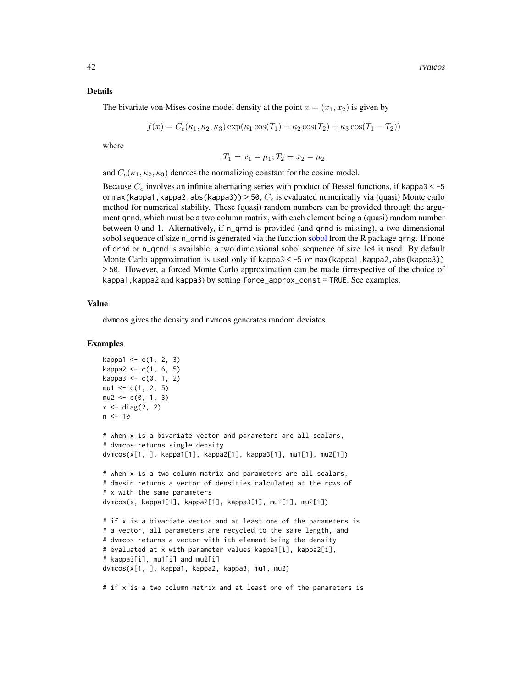#### <span id="page-41-0"></span>Details

The bivariate von Mises cosine model density at the point  $x = (x_1, x_2)$  is given by

$$
f(x) = C_c(\kappa_1, \kappa_2, \kappa_3) \exp(\kappa_1 \cos(T_1) + \kappa_2 \cos(T_2) + \kappa_3 \cos(T_1 - T_2))
$$

where

$$
T_1 = x_1 - \mu_1; T_2 = x_2 - \mu_2
$$

and  $C_c(\kappa_1, \kappa_2, \kappa_3)$  denotes the normalizing constant for the cosine model.

Because  $C_c$  involves an infinite alternating series with product of Bessel functions, if kappa3 < -5 or max(kappa1, kappa2, abs(kappa3)) > 50,  $C_c$  is evaluated numerically via (quasi) Monte carlo method for numerical stability. These (quasi) random numbers can be provided through the argument qrnd, which must be a two column matrix, with each element being a (quasi) random number between 0 and 1. Alternatively, if n\_qrnd is provided (and qrnd is missing), a two dimensional [sobol](#page-0-0) sequence of size n\_qrnd is generated via the function sobol from the R package qrng. If none of qrnd or n\_qrnd is available, a two dimensional sobol sequence of size 1e4 is used. By default Monte Carlo approximation is used only if kappa3 < -5 or max(kappa1, kappa2, abs(kappa3)) > 50. However, a forced Monte Carlo approximation can be made (irrespective of the choice of kappa1,kappa2 and kappa3) by setting force\_approx\_const = TRUE. See examples.

## Value

dvmcos gives the density and rvmcos generates random deviates.

#### Examples

```
kappa1 < -c(1, 2, 3)kappa2 \leq c(1, 6, 5)kappa3 < -c(0, 1, 2)mu1 \leftarrow c(1, 2, 5)mu2 \leq -c(0, 1, 3)x \leftarrow diag(2, 2)
n < -10# when x is a bivariate vector and parameters are all scalars,
# dvmcos returns single density
dvmcos(x[1, ], kappa1[1], kappa2[1], kappa3[1], mu1[1], mu2[1])
# when x is a two column matrix and parameters are all scalars,
# dmvsin returns a vector of densities calculated at the rows of
# x with the same parameters
dvmcos(x, kappa1[1], kappa2[1], kappa3[1], mu1[1], mu2[1])
# if x is a bivariate vector and at least one of the parameters is
# a vector, all parameters are recycled to the same length, and
# dvmcos returns a vector with ith element being the density
# evaluated at x with parameter values kappa1[i], kappa2[i],
# kappa3[i], mu1[i] and mu2[i]
dvmcos(x[1, ], kappa1, kappa2, kappa3, mu1, mu2)
# if x is a two column matrix and at least one of the parameters is
```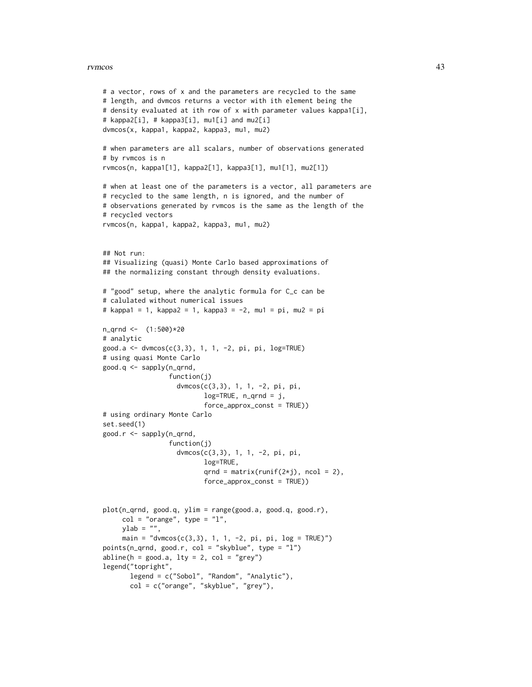#### rvmcos 43

```
# a vector, rows of x and the parameters are recycled to the same
# length, and dvmcos returns a vector with ith element being the
# density evaluated at ith row of x with parameter values kappa1[i],
# kappa2[i], # kappa3[i], mu1[i] and mu2[i]
dvmcos(x, kappa1, kappa2, kappa3, mu1, mu2)
# when parameters are all scalars, number of observations generated
# by rvmcos is n
rvmcos(n, kappa1[1], kappa2[1], kappa3[1], mu1[1], mu2[1])
# when at least one of the parameters is a vector, all parameters are
# recycled to the same length, n is ignored, and the number of
# observations generated by rvmcos is the same as the length of the
# recycled vectors
rvmcos(n, kappa1, kappa2, kappa3, mu1, mu2)
## Not run:
## Visualizing (quasi) Monte Carlo based approximations of
## the normalizing constant through density evaluations.
# "good" setup, where the analytic formula for C_c can be
# calulated without numerical issues
# kappa1 = 1, kappa2 = 1, kappa3 = -2, mu1 = pi, mu2 = pi
n_qrnd <- (1:500)*20
# analytic
good.a <- dvmcos(c(3,3), 1, 1, -2, pi, pi, log=TRUE)
# using quasi Monte Carlo
good.q <- sapply(n_qrnd,
                 function(j)
                   dvmcos(c(3,3), 1, 1, -2, pi, pi,
                          log=TRUE, n_qrnd = j,
                          force_approx_const = TRUE))
# using ordinary Monte Carlo
set.seed(1)
good.r <- sapply(n_qrnd,
                 function(j)
                   dvmcos(c(3,3), 1, 1, -2, pi, pi,
                          log=TRUE,
                          qrnd = matrix(runif(2\starj), ncol = 2),
                          force_approx_const = TRUE))
plot(n_qrnd, good.q, ylim = range(good.a, good.q, good.r),
     col = "orange", type = "l",ylab = "",main = "dvmcos(c(3,3), 1, 1, -2, pi, pi, log = TRUE)")points(n_qrnd, good.r, col = "skyblue", type = "l")
abline(h = good.a, lty = 2, col = "grey")legend("topright",
      legend = c("Sobol", "Random", "Analytic"),
      col = c("orange", "skyblue", "grey"),
```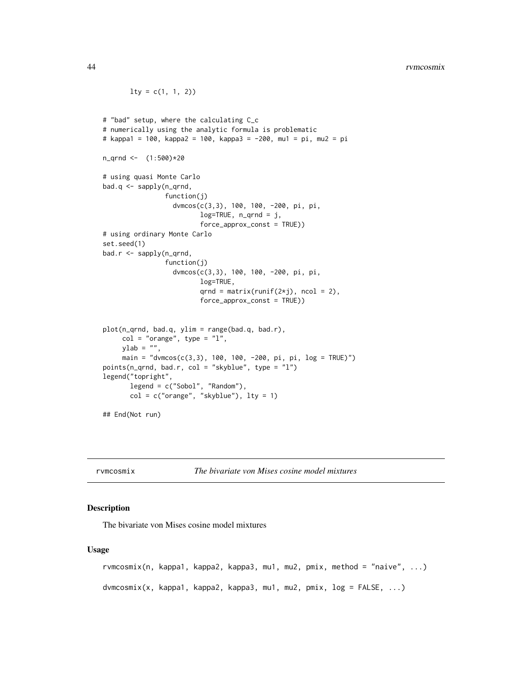#### <span id="page-43-0"></span>44 rvmcosmix

```
lty = c(1, 1, 2)# "bad" setup, where the calculating C_c
# numerically using the analytic formula is problematic
# kappa1 = 100, kappa2 = 100, kappa3 = -200, mu1 = pi, mu2 = pi
n_qrnd <- (1:500)*20
# using quasi Monte Carlo
bad.q <- sapply(n_qrnd,
                function(j)
                  dvmcos(c(3,3), 100, 100, -200, pi, pi,
                         log=TRUE, n_qrnd = j,
                         force_approx_const = TRUE))
# using ordinary Monte Carlo
set.seed(1)
bad.r <- sapply(n_qrnd,
                function(j)
                  dvmcos(c(3,3), 100, 100, -200, pi, pi,
                         log=TRUE,
                         qrnd = matrix(runif(2 \star j), ncol = 2),
                         force_approx_const = TRUE))
plot(n_qrnd, bad.q, ylim = range(bad.q, bad.r),
     col = "orange", type = "l",ylab = "",
     main = "dvmcos(c(3,3), 100, 100, -200, pi, pi, log = TRUE)")
points(n_qrnd, bad.r, col = "skyblue", type = "l")
legend("topright",
       legend = c("Sobol", "Random"),
       col = c("orange", "skyblue"), lty = 1)## End(Not run)
```
rvmcosmix *The bivariate von Mises cosine model mixtures*

## <span id="page-43-1"></span>**Description**

The bivariate von Mises cosine model mixtures

#### Usage

```
rvmcosmix(n, kappa1, kappa2, kappa3, mu1, mu2, pmix, method = "naive", ...)
dvmcosmix(x, kappa1, kappa2, kappa3, mu1, mu2, pmix, log = FALSE, ...)
```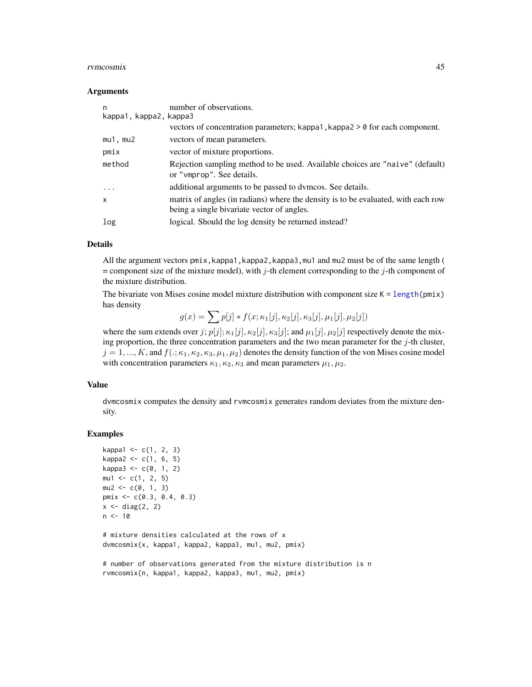#### <span id="page-44-0"></span>rvmcosmix 45

#### Arguments

| n<br>kappa1, kappa2, kappa3 | number of observations.                                                                                    |
|-----------------------------|------------------------------------------------------------------------------------------------------------|
|                             | vectors of concentration parameters; kappa1, kappa2 $> 0$ for each component.                              |
| $mu1$ , $mu2$               | vectors of mean parameters.                                                                                |
| pmix                        | vector of mixture proportions.                                                                             |
| method                      | Rejection sampling method to be used. Available choices are "naive" (default)<br>or "vmprop". See details. |
| $\ddots$                    | additional arguments to be passed to dymcos. See details.                                                  |
| $\mathsf{x}$                | matrix of angles (in radians) where the density is to be evaluated, with each row                          |
|                             | being a single bivariate vector of angles.                                                                 |
| log                         | logical. Should the log density be returned instead?                                                       |

#### Details

All the argument vectors pmix, kappa1, kappa2, kappa3, mu1 and mu2 must be of the same length (  $=$  component size of the mixture model), with j-th element corresponding to the j-th component of the mixture distribution.

The bivariate von Mises cosine model mixture distribution with component size  $K = \text{length}(pmx)$ has density

 $g(x) = \sum p[j] * f(x; \kappa_1[j], \kappa_2[j], \kappa_3[j], \mu_1[j], \mu_2[j])$ 

where the sum extends over j;  $p[j]; \kappa_1[j], \kappa_2[j], \kappa_3[j]$ ; and  $\mu_1[j], \mu_2[j]$  respectively denote the mixing proportion, the three concentration parameters and the two mean parameter for the  $j$ -th cluster,  $j = 1, ..., K$ , and  $f(.; \kappa_1, \kappa_2, \kappa_3, \mu_1, \mu_2)$  denotes the density function of the von Mises cosine model with concentration parameters  $\kappa_1, \kappa_2, \kappa_3$  and mean parameters  $\mu_1, \mu_2$ .

## Value

dvmcosmix computes the density and rvmcosmix generates random deviates from the mixture density.

## Examples

```
kappa1 < -c(1, 2, 3)kappa2 < -c(1, 6, 5)kappa3 < -c(0, 1, 2)mu1 \leq -c(1, 2, 5)mu2 \leq -c(0, 1, 3)pmix <- c(0.3, 0.4, 0.3)
x \leftarrow diag(2, 2)n < -10# mixture densities calculated at the rows of x
dvmcosmix(x, kappa1, kappa2, kappa3, mu1, mu2, pmix)
# number of observations generated from the mixture distribution is n
```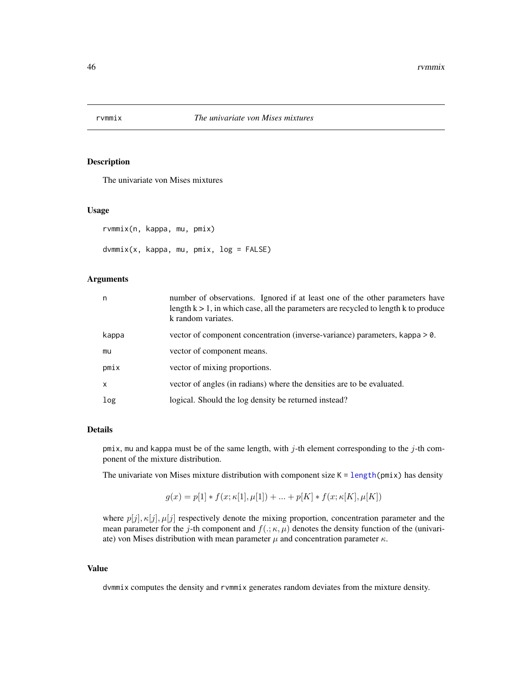<span id="page-45-0"></span>

## Description

The univariate von Mises mixtures

## Usage

```
rvmmix(n, kappa, mu, pmix)
dvmmix(x, kappa, mu, pmix, log = FALSE)
```
## Arguments

| n     | number of observations. Ignored if at least one of the other parameters have<br>length $k > 1$ , in which case, all the parameters are recycled to length k to produce<br>k random variates. |
|-------|----------------------------------------------------------------------------------------------------------------------------------------------------------------------------------------------|
| kappa | vector of component concentration (inverse-variance) parameters, kappa > 0.                                                                                                                  |
| mu    | vector of component means.                                                                                                                                                                   |
| pmix  | vector of mixing proportions.                                                                                                                                                                |
| X     | vector of angles (in radians) where the densities are to be evaluated.                                                                                                                       |
| log   | logical. Should the log density be returned instead?                                                                                                                                         |

## Details

pmix, mu and kappa must be of the same length, with  $j$ -th element corresponding to the  $j$ -th component of the mixture distribution.

The univariate von Mises mixture distribution with component size  $K = length(pmix)$  $K = length(pmix)$  $K = length(pmix)$  has density

$$
g(x) = p[1] * f(x; \kappa[1], \mu[1]) + ... + p[K] * f(x; \kappa[K], \mu[K])
$$

where  $p[j], \kappa[j], \mu[j]$  respectively denote the mixing proportion, concentration parameter and the mean parameter for the j-th component and  $f(.;\kappa,\mu)$  denotes the density function of the (univariate) von Mises distribution with mean parameter  $\mu$  and concentration parameter  $\kappa$ .

## Value

dvmmix computes the density and rvmmix generates random deviates from the mixture density.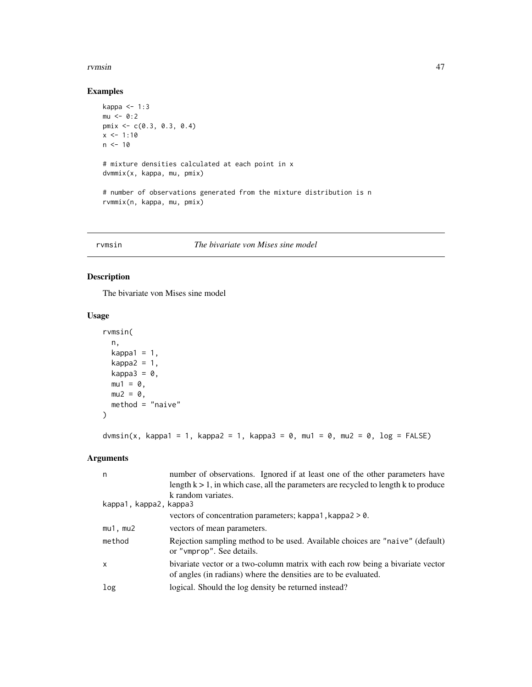#### <span id="page-46-0"></span>rvmsin 47

## Examples

```
kappa <- 1:3
mu < -0:2pmix <- c(0.3, 0.3, 0.4)
x < -1:10n < -10# mixture densities calculated at each point in x
dvmmix(x, kappa, mu, pmix)
# number of observations generated from the mixture distribution is n
rvmmix(n, kappa, mu, pmix)
```
#### rvmsin *The bivariate von Mises sine model*

## Description

The bivariate von Mises sine model

## Usage

```
rvmsin(
  n,
 kappa1 = 1,
 kappa2 = 1,
 kappa3 = 0,
 mu1 = 0,
 mu2 = 0,
 method = "naive"
\mathcal{L}
```
## dvmsin(x, kappa1 = 1, kappa2 = 1, kappa3 = 0, mu1 = 0, mu2 = 0, log = FALSE)

| n                      | number of observations. Ignored if at least one of the other parameters have                                                                      |
|------------------------|---------------------------------------------------------------------------------------------------------------------------------------------------|
|                        | length $k > 1$ , in which case, all the parameters are recycled to length k to produce                                                            |
|                        | k random variates.                                                                                                                                |
| kappa1, kappa2, kappa3 |                                                                                                                                                   |
|                        | vectors of concentration parameters; kappa1, kappa2 > 0.                                                                                          |
| $mu1$ , $mu2$          | vectors of mean parameters.                                                                                                                       |
| method                 | Rejection sampling method to be used. Available choices are "naive" (default)<br>or "vmprop". See details.                                        |
| $\mathsf{x}$           | bivariate vector or a two-column matrix with each row being a bivariate vector<br>of angles (in radians) where the densities are to be evaluated. |
| log                    | logical. Should the log density be returned instead?                                                                                              |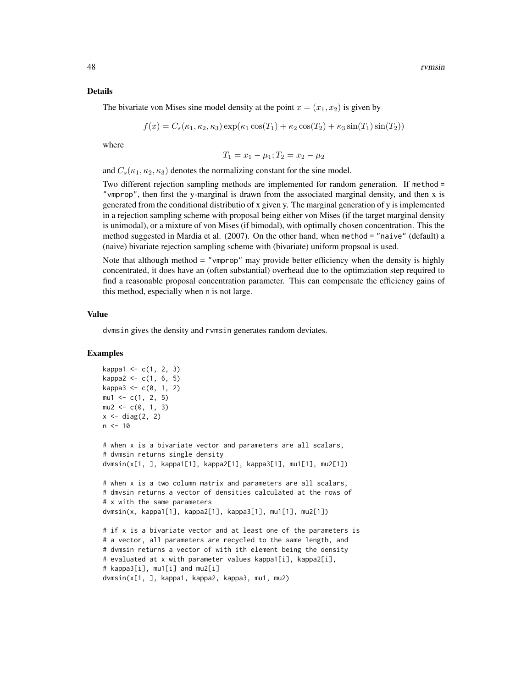#### Details

$$
f(x) = C_s(\kappa_1, \kappa_2, \kappa_3) \exp(\kappa_1 \cos(T_1) + \kappa_2 \cos(T_2) + \kappa_3 \sin(T_1) \sin(T_2))
$$

where

$$
T_1 = x_1 - \mu_1; T_2 = x_2 - \mu_2
$$

and  $C_s(\kappa_1, \kappa_2, \kappa_3)$  denotes the normalizing constant for the sine model.

Two different rejection sampling methods are implemented for random generation. If method = "vmprop", then first the y-marginal is drawn from the associated marginal density, and then x is generated from the conditional distributio of x given y. The marginal generation of y is implemented in a rejection sampling scheme with proposal being either von Mises (if the target marginal density is unimodal), or a mixture of von Mises (if bimodal), with optimally chosen concentration. This the method suggested in Mardia et al. (2007). On the other hand, when method = "naive" (default) a (naive) bivariate rejection sampling scheme with (bivariate) uniform propsoal is used.

Note that although method = "vmprop" may provide better efficiency when the density is highly concentrated, it does have an (often substantial) overhead due to the optimziation step required to find a reasonable proposal concentration parameter. This can compensate the efficiency gains of this method, especially when n is not large.

## Value

dvmsin gives the density and rvmsin generates random deviates.

#### Examples

```
kappa1 < -c(1, 2, 3)kappa2 < -c(1, 6, 5)kappa3 < -c(0, 1, 2)mu1 \leq -c(1, 2, 5)mu2 \leq -c(0, 1, 3)x \leftarrow diag(2, 2)n < -10# when x is a bivariate vector and parameters are all scalars,
# dvmsin returns single density
dvmsin(x[1, ], kappa1[1], kappa2[1], kappa3[1], mu1[1], mu2[1])
# when x is a two column matrix and parameters are all scalars,
# dmvsin returns a vector of densities calculated at the rows of
# x with the same parameters
dvmsin(x, kappa1[1], kappa2[1], kappa3[1], mu1[1], mu2[1])
# if x is a bivariate vector and at least one of the parameters is
# a vector, all parameters are recycled to the same length, and
# dvmsin returns a vector of with ith element being the density
# evaluated at x with parameter values kappa1[i], kappa2[i],
# kappa3[i], mu1[i] and mu2[i]
dvmsin(x[1, ], kappa1, kappa2, kappa3, mu1, mu2)
```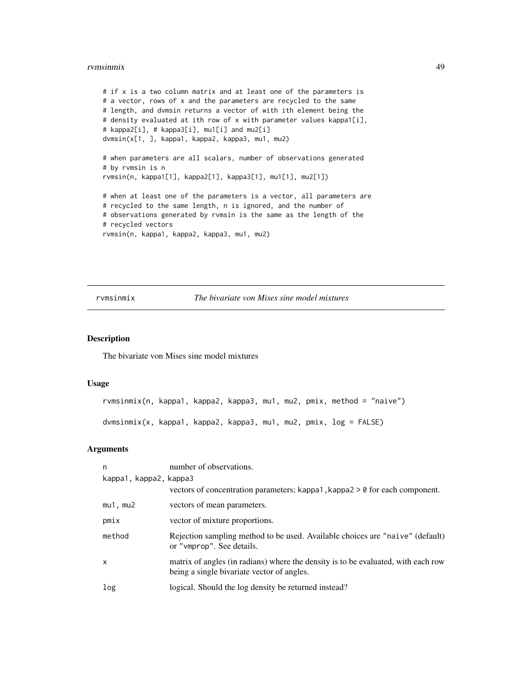#### <span id="page-48-0"></span>rvmsinmix 49

```
# if x is a two column matrix and at least one of the parameters is
# a vector, rows of x and the parameters are recycled to the same
# length, and dvmsin returns a vector of with ith element being the
# density evaluated at ith row of x with parameter values kappa1[i],
# kappa2[i], # kappa3[i], mu1[i] and mu2[i]
dvmsin(x[1, ], kappa1, kappa2, kappa3, mu1, mu2)
# when parameters are all scalars, number of observations generated
# by rvmsin is n
rvmsin(n, kappa1[1], kappa2[1], kappa3[1], mu1[1], mu2[1])
# when at least one of the parameters is a vector, all parameters are
# recycled to the same length, n is ignored, and the number of
# observations generated by rvmsin is the same as the length of the
# recycled vectors
rvmsin(n, kappa1, kappa2, kappa3, mu1, mu2)
```
rvmsinmix *The bivariate von Mises sine model mixtures*

## <span id="page-48-1"></span>Description

The bivariate von Mises sine model mixtures

#### Usage

rvmsinmix(n, kappa1, kappa2, kappa3, mu1, mu2, pmix, method = "naive") dvmsinmix(x, kappa1, kappa2, kappa3, mu1, mu2, pmix, log = FALSE)

| n                      | number of observations.                                                                                                         |
|------------------------|---------------------------------------------------------------------------------------------------------------------------------|
| kappa1, kappa2, kappa3 |                                                                                                                                 |
|                        | vectors of concentration parameters; kappa1, kappa2 $> 0$ for each component.                                                   |
| $mu1$ , $mu2$          | vectors of mean parameters.                                                                                                     |
| pmix                   | vector of mixture proportions.                                                                                                  |
| method                 | Rejection sampling method to be used. Available choices are "naive" (default)<br>or "vmprop". See details.                      |
| x                      | matrix of angles (in radians) where the density is to be evaluated, with each row<br>being a single bivariate vector of angles. |
| log                    | logical. Should the log density be returned instead?                                                                            |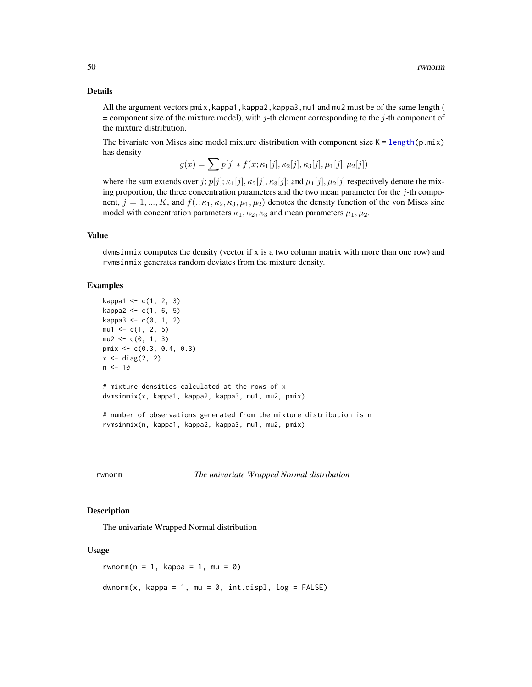#### <span id="page-49-0"></span>Details

All the argument vectors pmix,kappa1,kappa2,kappa3,mu1 and mu2 must be of the same length (  $=$  component size of the mixture model), with j-th element corresponding to the j-th component of the mixture distribution.

The bivariate von Mises sine model mixture distribution with component size  $K = length(p, mix)$  $K = length(p, mix)$  $K = length(p, mix)$ has density

$$
g(x) = \sum p[j] * f(x; \kappa_1[j], \kappa_2[j], \kappa_3[j], \mu_1[j], \mu_2[j])
$$

where the sum extends over j;  $p[j]; \kappa_1[j], \kappa_2[j], \kappa_3[j]$ ; and  $\mu_1[j], \mu_2[j]$  respectively denote the mixing proportion, the three concentration parameters and the two mean parameter for the  $j$ -th component,  $j = 1, ..., K$ , and  $f(.; \kappa_1, \kappa_2, \kappa_3, \mu_1, \mu_2)$  denotes the density function of the von Mises sine model with concentration parameters  $\kappa_1, \kappa_2, \kappa_3$  and mean parameters  $\mu_1, \mu_2$ .

#### Value

dvmsinmix computes the density (vector if x is a two column matrix with more than one row) and rvmsinmix generates random deviates from the mixture density.

#### Examples

```
kappa1 <- c(1, 2, 3)
kappa2 < -c(1, 6, 5)kappa3 < -c(0, 1, 2)mu1 \leftarrow c(1, 2, 5)mu2 \leq -c(0, 1, 3)pmix <- c(0.3, 0.4, 0.3)
x \leftarrow diag(2, 2)n < -10# mixture densities calculated at the rows of x
dvmsinmix(x, kappa1, kappa2, kappa3, mu1, mu2, pmix)
# number of observations generated from the mixture distribution is n
rvmsinmix(n, kappa1, kappa2, kappa3, mu1, mu2, pmix)
```
rwnorm *The univariate Wrapped Normal distribution*

#### Description

The univariate Wrapped Normal distribution

#### Usage

rwnorm( $n = 1$ , kappa = 1, mu = 0)  $d$ wnorm(x, kappa = 1, mu = 0, int.displ, log = FALSE)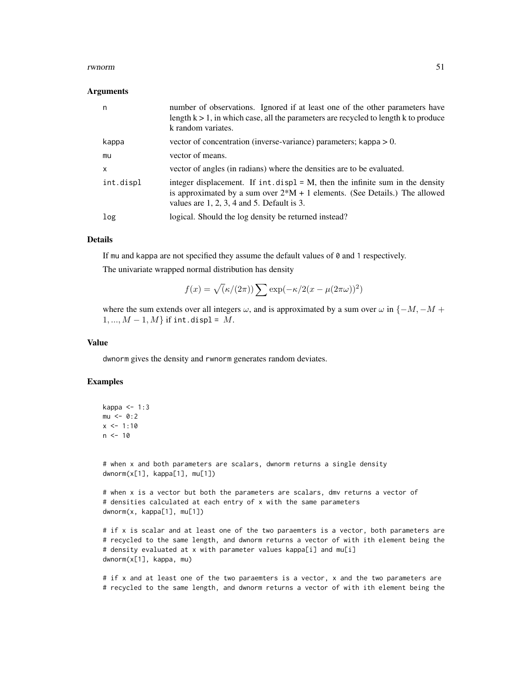#### rwnorm 51

#### Arguments

| n         | number of observations. Ignored if at least one of the other parameters have<br>length $k > 1$ , in which case, all the parameters are recycled to length k to produce<br>k random variates.                        |
|-----------|---------------------------------------------------------------------------------------------------------------------------------------------------------------------------------------------------------------------|
| kappa     | vector of concentration (inverse-variance) parameters; kappa $> 0$ .                                                                                                                                                |
| mu        | vector of means.                                                                                                                                                                                                    |
| X         | vector of angles (in radians) where the densities are to be evaluated.                                                                                                                                              |
| int.displ | integer displacement. If $int.$ displ = M, then the infinite sum in the density<br>is approximated by a sum over $2^*M + 1$ elements. (See Details.) The allowed<br>values are $1, 2, 3, 4$ and $5$ . Default is 3. |
| log       | logical. Should the log density be returned instead?                                                                                                                                                                |

#### Details

If mu and kappa are not specified they assume the default values of 0 and 1 respectively. The univariate wrapped normal distribution has density

$$
f(x) = \sqrt{\left(\frac{\kappa}{2\pi}\right)} \sum \exp(-\frac{\kappa}{2(x - \mu(2\pi\omega))^2})
$$

where the sum extends over all integers  $\omega$ , and is approximated by a sum over  $\omega$  in { $-M$ ,  $-M$  +  $1, ..., M - 1, M$  if int.displ = M.

## Value

dwnorm gives the density and rwnorm generates random deviates.

#### Examples

```
kappa \leq -1:3mu < -0:2x \le -1:10n < -10
```
# when x and both parameters are scalars, dwnorm returns a single density dwnorm(x[1], kappa[1], mu[1])

# when x is a vector but both the parameters are scalars, dmv returns a vector of # densities calculated at each entry of x with the same parameters dwnorm(x, kappa[1], mu[1])

# if x is scalar and at least one of the two paraemters is a vector, both parameters are # recycled to the same length, and dwnorm returns a vector of with ith element being the # density evaluated at x with parameter values kappa[i] and mu[i] dwnorm(x[1], kappa, mu)

# if x and at least one of the two paraemters is a vector, x and the two parameters are # recycled to the same length, and dwnorm returns a vector of with ith element being the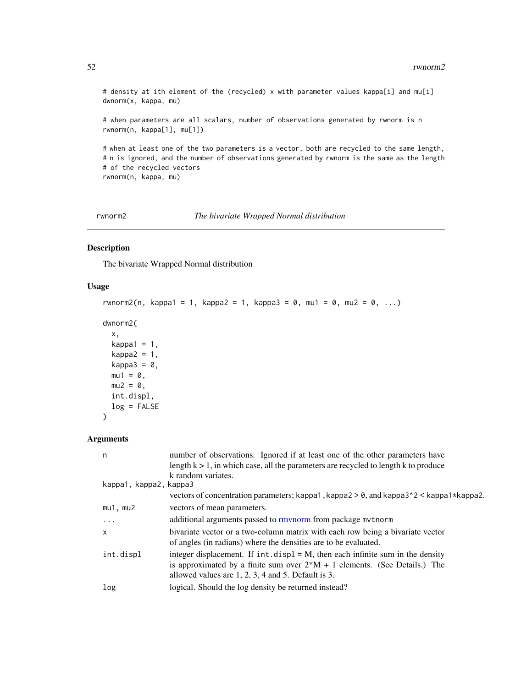<span id="page-51-0"></span># density at ith element of the (recycled) x with parameter values kappa[i] and mu[i] dwnorm(x, kappa, mu)

# when parameters are all scalars, number of observations generated by rwnorm is n rwnorm(n, kappa[1], mu[1])

# when at least one of the two parameters is a vector, both are recycled to the same length, # n is ignored, and the number of observations generated by rwnorm is the same as the length # of the recycled vectors rwnorm(n, kappa, mu)

<span id="page-51-1"></span>rwnorm2 *The bivariate Wrapped Normal distribution*

## Description

The bivariate Wrapped Normal distribution

#### Usage

```
rwnorm2(n, kappa1 = 1, kappa2 = 1, kappa3 = 0, mu1 = 0, mu2 = 0, ...)
```

```
dwnorm2(
```

```
x,
kappa1 = 1,
kappa2 = 1,
kappa3 = 0,
mu1 = 0,
mu2 = 0,
int.displ,
log = FALSE
```
## Arguments

)

| n                      | number of observations. Ignored if at least one of the other parameters have           |
|------------------------|----------------------------------------------------------------------------------------|
|                        | length $k > 1$ , in which case, all the parameters are recycled to length k to produce |
|                        | k random variates.                                                                     |
| kappa1, kappa2, kappa3 |                                                                                        |
|                        | vectors of concentration parameters; kappa1, kappa2 > 0, and kappa3^2 < kappa1*kappa2. |
| $mu1$ , $mu2$          | vectors of mean parameters.                                                            |
| .                      | additional arguments passed to rmynorm from package mytnorm                            |
| $\mathsf{x}$           | bivariate vector or a two-column matrix with each row being a bivariate vector         |
|                        | of angles (in radians) where the densities are to be evaluated.                        |
| int.displ              | integer displacement. If $int.disp1 = M$ , then each infinite sum in the density       |
|                        | is approximated by a finite sum over $2*M + 1$ elements. (See Details.) The            |
|                        | allowed values are $1, 2, 3, 4$ and 5. Default is 3.                                   |
| log                    | logical. Should the log density be returned instead?                                   |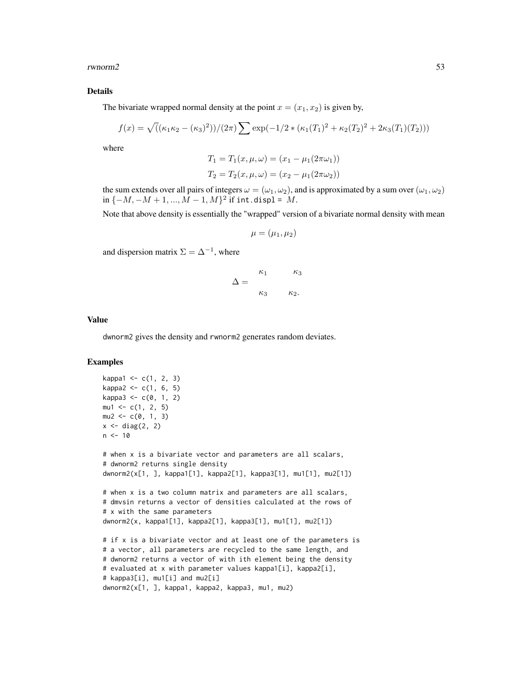rwnorm2 53

#### Details

The bivariate wrapped normal density at the point  $x = (x_1, x_2)$  is given by,

$$
f(x) = \sqrt{((\kappa_1 \kappa_2 - (\kappa_3)^2))/(2\pi)} \sum \exp(-1/2 * (\kappa_1(T_1)^2 + \kappa_2(T_2)^2 + 2\kappa_3(T_1)(T_2)))
$$

where

$$
T_1 = T_1(x, \mu, \omega) = (x_1 - \mu_1(2\pi\omega_1))
$$
  

$$
T_2 = T_2(x, \mu, \omega) = (x_2 - \mu_1(2\pi\omega_2))
$$

the sum extends over all pairs of integers  $\omega = (\omega_1, \omega_2)$ , and is approximated by a sum over  $(\omega_1, \omega_2)$  $\inf \{-M, -M+1, ..., M-1, M\}^2$  if  $\text{int. display} = M$ .

Note that above density is essentially the "wrapped" version of a bivariate normal density with mean

$$
\mu = (\mu_1, \mu_2)
$$

and dispersion matrix  $\Sigma = \Delta^{-1}$ , where

$$
\Delta = \frac{\kappa_1}{\kappa_3} \frac{\kappa_3}{\kappa_2}.
$$

### Value

dwnorm2 gives the density and rwnorm2 generates random deviates.

## Examples

```
kappa1 < -c(1, 2, 3)kappa2 < -c(1, 6, 5)kappa3 < -c(0, 1, 2)mu1 \leq -c(1, 2, 5)mu2 \leq -c(0, 1, 3)x \leftarrow diag(2, 2)n < -10# when x is a bivariate vector and parameters are all scalars,
# dwnorm2 returns single density
dwnorm2(x[1, ], kappa1[1], kappa2[1], kappa3[1], mu1[1], mu2[1])
# when x is a two column matrix and parameters are all scalars,
# dmvsin returns a vector of densities calculated at the rows of
# x with the same parameters
dwnorm2(x, kappa1[1], kappa2[1], kappa3[1], mu1[1], mu2[1])
# if x is a bivariate vector and at least one of the parameters is
# a vector, all parameters are recycled to the same length, and
# dwnorm2 returns a vector of with ith element being the density
# evaluated at x with parameter values kappa1[i], kappa2[i],
# kappa3[i], mu1[i] and mu2[i]
dwnorm2(x[1, ], kappa1, kappa2, kappa3, mu1, mu2)
```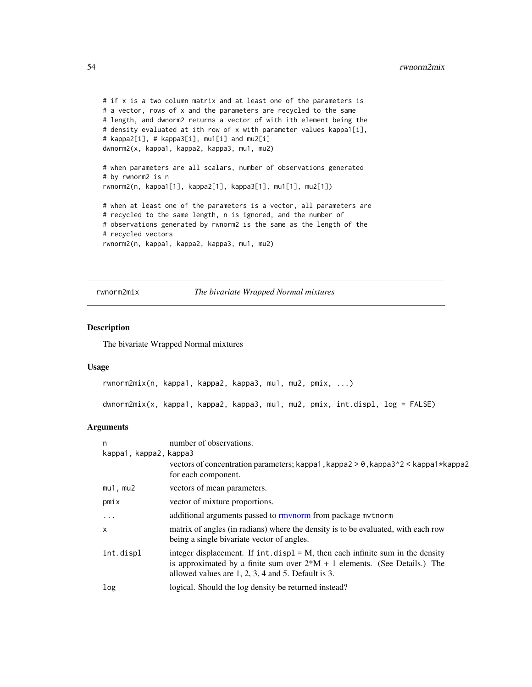```
# if x is a two column matrix and at least one of the parameters is
# a vector, rows of x and the parameters are recycled to the same
# length, and dwnorm2 returns a vector of with ith element being the
# density evaluated at ith row of x with parameter values kappa1[i],
# kappa2[i], # kappa3[i], mu1[i] and mu2[i]
dwnorm2(x, kappa1, kappa2, kappa3, mu1, mu2)
# when parameters are all scalars, number of observations generated
# by rwnorm2 is n
rwnorm2(n, kappa1[1], kappa2[1], kappa3[1], mu1[1], mu2[1])
# when at least one of the parameters is a vector, all parameters are
# recycled to the same length, n is ignored, and the number of
# observations generated by rwnorm2 is the same as the length of the
# recycled vectors
rwnorm2(n, kappa1, kappa2, kappa3, mu1, mu2)
```
rwnorm2mix *The bivariate Wrapped Normal mixtures*

#### <span id="page-53-1"></span>Description

The bivariate Wrapped Normal mixtures

## Usage

```
rwnorm2mix(n, kappa1, kappa2, kappa3, mu1, mu2, pmix, ...)
dwnorm2mix(x, kappa1, kappa2, kappa3, mu1, mu2, pmix, int.displ, log = FALSE)
```

| n                      | number of observations.                                                                                                                                                                                                    |
|------------------------|----------------------------------------------------------------------------------------------------------------------------------------------------------------------------------------------------------------------------|
| kappa1, kappa2, kappa3 |                                                                                                                                                                                                                            |
|                        | vectors of concentration parameters; kappa1, kappa2 > 0, kappa3^2 < kappa1*kappa2<br>for each component.                                                                                                                   |
| $mu1$ , $mu2$          | vectors of mean parameters.                                                                                                                                                                                                |
| pmix                   | vector of mixture proportions.                                                                                                                                                                                             |
| $\ddots$               | additional arguments passed to rmynorm from package mythorm                                                                                                                                                                |
| $\mathsf{x}$           | matrix of angles (in radians) where the density is to be evaluated, with each row<br>being a single bivariate vector of angles.                                                                                            |
| int.displ              | integer displacement. If $int.disp1 = M$ , then each infinite sum in the density<br>is approximated by a finite sum over $2*M + 1$ elements. (See Details.) The<br>allowed values are $1, 2, 3, 4$ and $5$ . Default is 3. |
| log                    | logical. Should the log density be returned instead?                                                                                                                                                                       |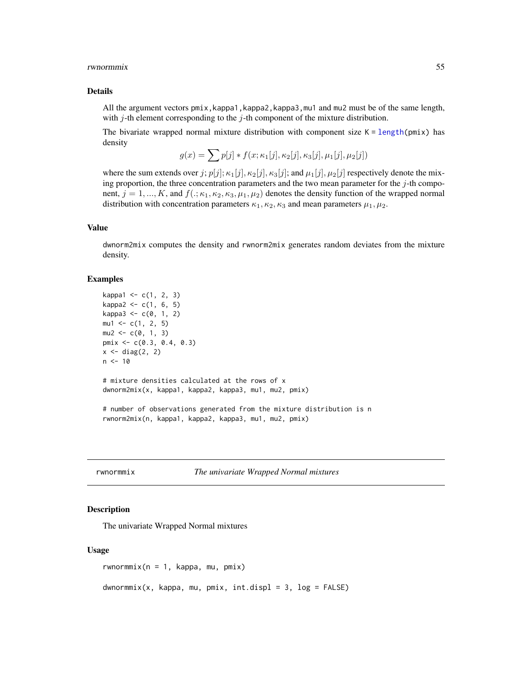#### <span id="page-54-0"></span>rwnormmix 55

#### Details

All the argument vectors pmix,kappa1,kappa2,kappa3,mu1 and mu2 must be of the same length, with  $j$ -th element corresponding to the  $j$ -th component of the mixture distribution.

The bivariate wrapped normal mixture distribution with component size  $K = \text{length}(pmix)$  has density

$$
g(x) = \sum p[j] * f(x; \kappa_1[j], \kappa_2[j], \kappa_3[j], \mu_1[j], \mu_2[j])
$$

where the sum extends over j;  $p[j]; \kappa_1[j], \kappa_2[j], \kappa_3[j];$  and  $\mu_1[j], \mu_2[j]$  respectively denote the mixing proportion, the three concentration parameters and the two mean parameter for the  $j$ -th component,  $j = 1, ..., K$ , and  $f(.; \kappa_1, \kappa_2, \kappa_3, \mu_1, \mu_2)$  denotes the density function of the wrapped normal distribution with concentration parameters  $\kappa_1, \kappa_2, \kappa_3$  and mean parameters  $\mu_1, \mu_2$ .

## Value

dwnorm2mix computes the density and rwnorm2mix generates random deviates from the mixture density.

#### Examples

```
kappa1 < -c(1, 2, 3)kappa2 < -c(1, 6, 5)kappa3 < -c(0, 1, 2)mu1 \leq -c(1, 2, 5)mu2 < -c(0, 1, 3)pmix <- c(0.3, 0.4, 0.3)
x \leftarrow diag(2, 2)n < -10# mixture densities calculated at the rows of x
dwnorm2mix(x, kappa1, kappa2, kappa3, mu1, mu2, pmix)
# number of observations generated from the mixture distribution is n
rwnorm2mix(n, kappa1, kappa2, kappa3, mu1, mu2, pmix)
```
rwnormmix *The univariate Wrapped Normal mixtures*

## Description

The univariate Wrapped Normal mixtures

#### Usage

rwnormmix( $n = 1$ , kappa, mu, pmix)

 $d$ wnormmix(x, kappa, mu, pmix, int.displ = 3, log = FALSE)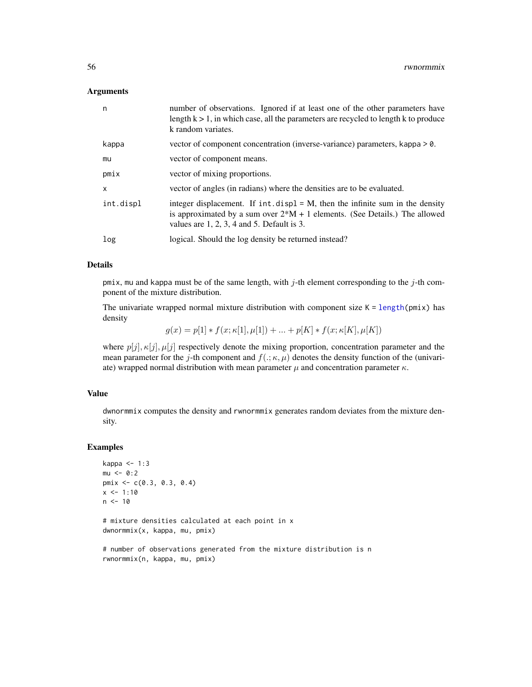<span id="page-55-0"></span>

| n         | number of observations. Ignored if at least one of the other parameters have<br>length $k > 1$ , in which case, all the parameters are recycled to length k to produce<br>k random variates.                        |
|-----------|---------------------------------------------------------------------------------------------------------------------------------------------------------------------------------------------------------------------|
| kappa     | vector of component concentration (inverse-variance) parameters, kappa > 0.                                                                                                                                         |
| mu        | vector of component means.                                                                                                                                                                                          |
| pmix      | vector of mixing proportions.                                                                                                                                                                                       |
| X         | vector of angles (in radians) where the densities are to be evaluated.                                                                                                                                              |
| int.displ | integer displacement. If $int.$ displ = M, then the infinite sum in the density<br>is approximated by a sum over $2^*M + 1$ elements. (See Details.) The allowed<br>values are $1, 2, 3, 4$ and $5$ . Default is 3. |
| log       | logical. Should the log density be returned instead?                                                                                                                                                                |

## Details

pmix, mu and kappa must be of the same length, with  $j$ -th element corresponding to the  $j$ -th component of the mixture distribution.

The univariate wrapped normal mixture distribution with component size  $K = length(pmix)$  $K = length(pmix)$  $K = length(pmix)$  has density

 $g(x) = p[1] * f(x; \kappa[1], \mu[1]) + ... + p[K] * f(x; \kappa[K], \mu[K])$ 

where  $p[j], \kappa[j], \mu[j]$  respectively denote the mixing proportion, concentration parameter and the mean parameter for the j-th component and  $f(.;\kappa,\mu)$  denotes the density function of the (univariate) wrapped normal distribution with mean parameter  $\mu$  and concentration parameter  $\kappa$ .

#### Value

dwnormmix computes the density and rwnormmix generates random deviates from the mixture density.

#### Examples

```
kappa <- 1:3
mu < -0:2pmix <- c(0.3, 0.3, 0.4)
x \le -1:10n < -10# mixture densities calculated at each point in x
dwnormmix(x, kappa, mu, pmix)
# number of observations generated from the mixture distribution is n
rwnormmix(n, kappa, mu, pmix)
```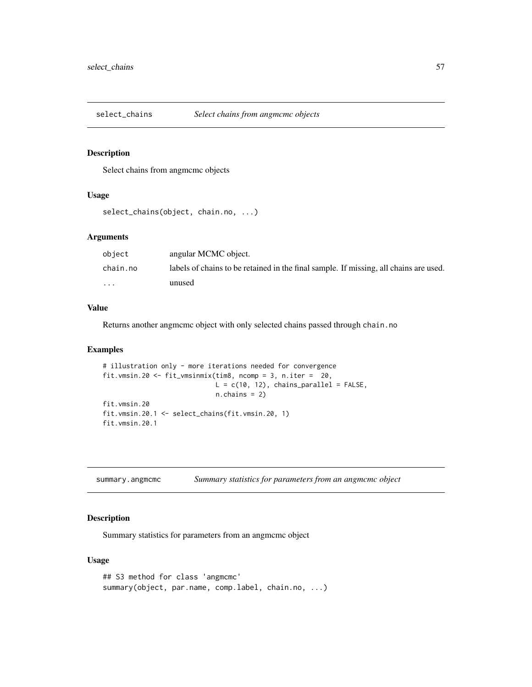<span id="page-56-0"></span>

## Description

Select chains from angmcmc objects

## Usage

```
select_chains(object, chain.no, ...)
```
## Arguments

| object   | angular MCMC object.                                                                  |
|----------|---------------------------------------------------------------------------------------|
| chain.no | labels of chains to be retained in the final sample. If missing, all chains are used. |
| $\cdots$ | unused                                                                                |

## Value

Returns another angmcmc object with only selected chains passed through chain.no

#### Examples

```
# illustration only - more iterations needed for convergence
fit.vmsin.20 <- fit_vmsinmix(tim8, ncomp = 3, n.iter = 20,
                             L = c(10, 12), chains_parallel = FALSE,
                             n.chains = 2)
fit.vmsin.20
fit.vmsin.20.1 <- select_chains(fit.vmsin.20, 1)
fit.vmsin.20.1
```
summary.angmcmc *Summary statistics for parameters from an angmcmc object*

## Description

Summary statistics for parameters from an angmcmc object

#### Usage

```
## S3 method for class 'angmcmc'
summary(object, par.name, comp.label, chain.no, ...)
```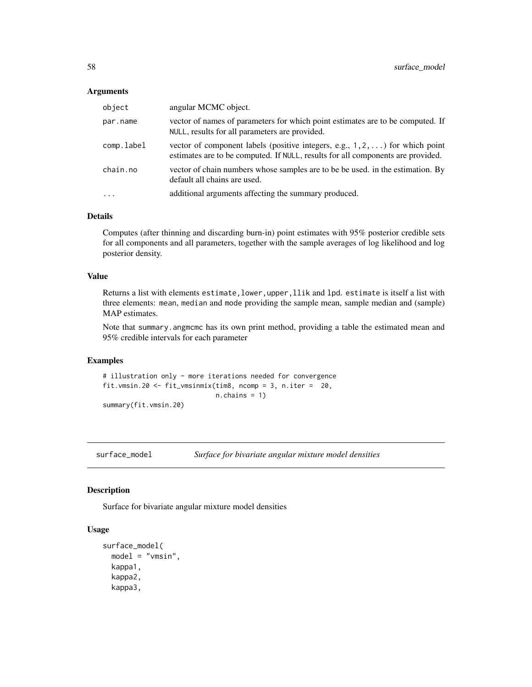<span id="page-57-0"></span>

| object     | angular MCMC object.                                                                                                                                                     |
|------------|--------------------------------------------------------------------------------------------------------------------------------------------------------------------------|
| par.name   | vector of names of parameters for which point estimates are to be computed. If<br>NULL, results for all parameters are provided.                                         |
| comp.label | vector of component labels (positive integers, e.g., $1, 2, \ldots$ ) for which point<br>estimates are to be computed. If NULL, results for all components are provided. |
| chain.no   | vector of chain numbers whose samples are to be be used. in the estimation. By<br>default all chains are used.                                                           |
| $\cdot$    | additional arguments affecting the summary produced.                                                                                                                     |

## Details

Computes (after thinning and discarding burn-in) point estimates with 95% posterior credible sets for all components and all parameters, together with the sample averages of log likelihood and log posterior density.

## Value

Returns a list with elements estimate, lower, upper, llik and lpd. estimate is itself a list with three elements: mean, median and mode providing the sample mean, sample median and (sample) MAP estimates.

Note that summary. angmcmc has its own print method, providing a table the estimated mean and 95% credible intervals for each parameter

#### Examples

# illustration only - more iterations needed for convergence fit.vmsin.20 <- fit\_vmsinmix(tim8, ncomp = 3, n.iter = 20,  $n.$ chains = 1) summary(fit.vmsin.20)

surface\_model *Surface for bivariate angular mixture model densities*

#### Description

Surface for bivariate angular mixture model densities

## Usage

```
surface_model(
 model = "vmsin",
  kappa1,
  kappa2,
  kappa3,
```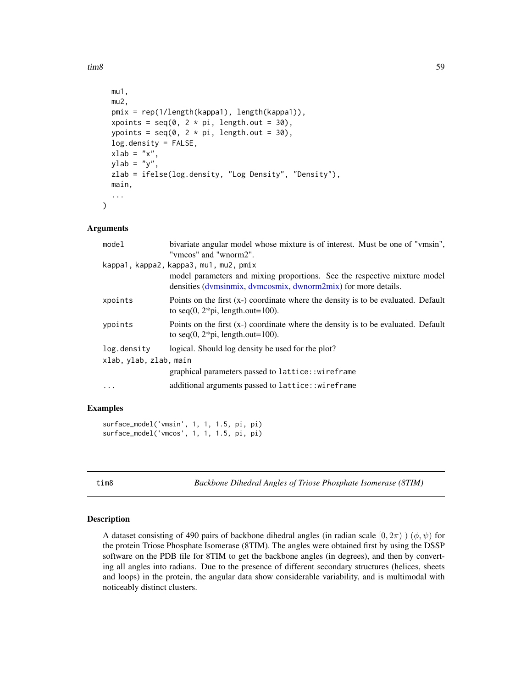<span id="page-58-0"></span> $t_{\rm{rms}}$  59

```
mu1,
 mu2,
 pmix = rep(1/length(kappa1), length(kappa1)),
 xpoints = seq(0, 2 * pi, length.out = 30),
  ypoints = seq(0, 2 * pi, length.out = 30),
  log.density = FALSE,
  xlab = "x",
 ylab = "y",
  zlab = ifelse(log.density, "Log Density", "Density"),
 main,
  ...
)
```
#### Arguments

| model                  | bivariate angular model whose mixture is of interest. Must be one of "vmsin",                                                               |  |
|------------------------|---------------------------------------------------------------------------------------------------------------------------------------------|--|
|                        | "vmcos" and "wnorm2".                                                                                                                       |  |
|                        | kappa1, kappa2, kappa3, mu1, mu2, pmix                                                                                                      |  |
|                        | model parameters and mixing proportions. See the respective mixture model<br>densities (dvmsinmix, dvmcosmix, dwnorm2mix) for more details. |  |
| xpoints                | Points on the first $(x)$ coordinate where the density is to be evaluated. Default<br>to seq(0, $2 \times pi$ , length.out=100).            |  |
| ypoints                | Points on the first $(x)$ coordinate where the density is to be evaluated. Default<br>to seq(0, $2 \times pi$ , length.out=100).            |  |
| log.density            | logical. Should log density be used for the plot?                                                                                           |  |
| xlab, ylab, zlab, main |                                                                                                                                             |  |
|                        | graphical parameters passed to lattice:: wireframe                                                                                          |  |
|                        | additional arguments passed to lattice::wireframe                                                                                           |  |
|                        |                                                                                                                                             |  |

## Examples

```
surface_model('vmsin', 1, 1, 1.5, pi, pi)
surface_model('vmcos', 1, 1, 1.5, pi, pi)
```
tim8 *Backbone Dihedral Angles of Triose Phosphate Isomerase (8TIM)*

#### Description

A dataset consisting of 490 pairs of backbone dihedral angles (in radian scale  $[0, 2\pi)$ )  $(\phi, \psi)$  for the protein Triose Phosphate Isomerase (8TIM). The angles were obtained first by using the DSSP software on the PDB file for 8TIM to get the backbone angles (in degrees), and then by converting all angles into radians. Due to the presence of different secondary structures (helices, sheets and loops) in the protein, the angular data show considerable variability, and is multimodal with noticeably distinct clusters.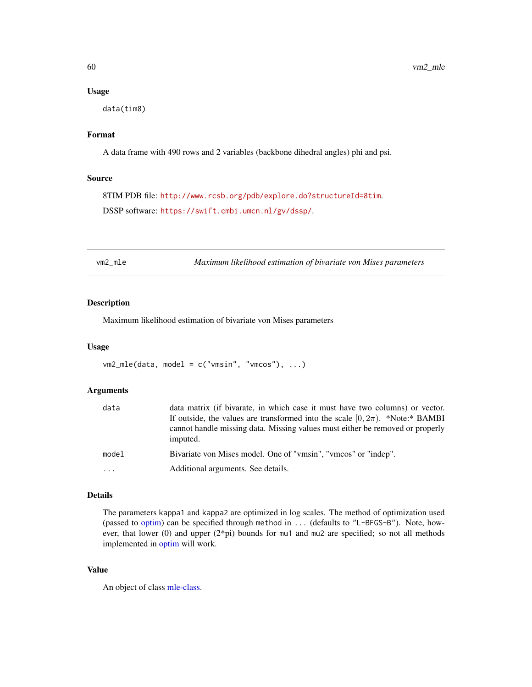#### Usage

data(tim8)

## Format

A data frame with 490 rows and 2 variables (backbone dihedral angles) phi and psi.

#### Source

8TIM PDB file: <http://www.rcsb.org/pdb/explore.do?structureId=8tim>. DSSP software: <https://swift.cmbi.umcn.nl/gv/dssp/>.

vm2\_mle *Maximum likelihood estimation of bivariate von Mises parameters*

## Description

Maximum likelihood estimation of bivariate von Mises parameters

#### Usage

```
vm2_mle(data, model = c("vmsin", "vmcos"), ...)
```
#### Arguments

| data     | data matrix (if bivarate, in which case it must have two columns) or vector.<br>If outside, the values are transformed into the scale $[0, 2\pi)$ . *Note:* BAMBI<br>cannot handle missing data. Missing values must either be removed or properly<br>imputed. |
|----------|----------------------------------------------------------------------------------------------------------------------------------------------------------------------------------------------------------------------------------------------------------------|
| model    | Bivariate von Mises model. One of "vmsin", "vmcos" or "indep".                                                                                                                                                                                                 |
| $\ddots$ | Additional arguments. See details.                                                                                                                                                                                                                             |

## Details

The parameters kappa1 and kappa2 are optimized in log scales. The method of optimization used (passed to [optim\)](#page-0-0) can be specified through method in ... (defaults to "L-BFGS-B"). Note, however, that lower (0) and upper (2\*pi) bounds for mu1 and mu2 are specified; so not all methods implemented in [optim](#page-0-0) will work.

#### Value

An object of class [mle-class.](#page-0-0)

<span id="page-59-0"></span>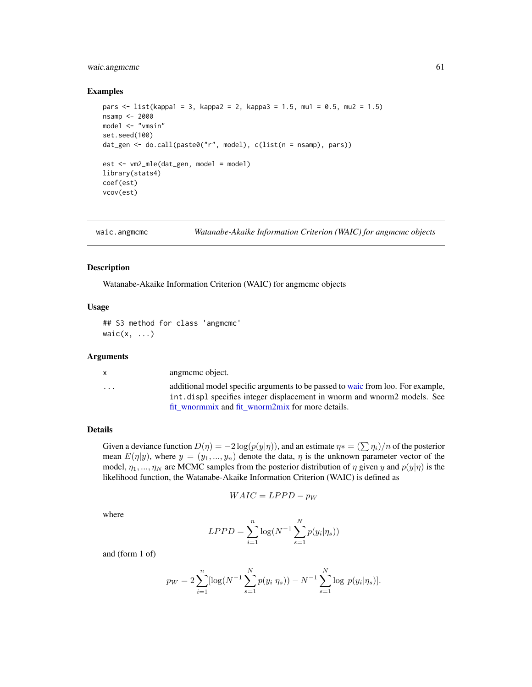## <span id="page-60-0"></span>waic.angmcmc 61

#### Examples

```
pars <- list(kappa1 = 3, kappa2 = 2, kappa3 = 1.5, mu1 = 0.5, mu2 = 1.5)
nsamp <- 2000
model <- "vmsin"
set.seed(100)
dat_gen <- do.call(paste0("r", model), c(list(n = nsamp), pars))
est <- vm2_mle(dat_gen, model = model)
library(stats4)
coef(est)
vcov(est)
```

```
waic.angmcmc Watanabe-Akaike Information Criterion (WAIC) for angmcmc objects
```
#### Description

Watanabe-Akaike Information Criterion (WAIC) for angmcmc objects

#### Usage

```
## S3 method for class 'angmcmc'
waic(x, \ldots)
```
## Arguments

| $\cdots$ | $\mathsf{x}$ | angmeme object.                                                                                                                                                                                                  |
|----------|--------------|------------------------------------------------------------------------------------------------------------------------------------------------------------------------------------------------------------------|
|          |              | additional model specific arguments to be passed to waic from loo. For example,<br>int, displ specifies integer displacement in wnorm and wnorm2 models. See<br>fit wnormmix and fit wnorm2mix for more details. |

## Details

Given a deviance function  $D(\eta) = -2 \log(p(y|\eta))$ , and an estimate  $\eta * = (\sum \eta_i)/n$  of the posterior mean  $E(\eta|y)$ , where  $y = (y_1, ..., y_n)$  denote the data,  $\eta$  is the unknown parameter vector of the model,  $\eta_1, ..., \eta_N$  are MCMC samples from the posterior distribution of  $\eta$  given y and  $p(y|\eta)$  is the likelihood function, the Watanabe-Akaike Information Criterion (WAIC) is defined as

$$
WAIC = LPPD - p_W
$$

where

$$
LPPD = \sum_{i=1}^{n} \log(N^{-1} \sum_{s=1}^{N} p(y_i | \eta_s))
$$

and (form 1 of)

$$
p_W = 2 \sum_{i=1}^{n} [\log(N^{-1} \sum_{s=1}^{N} p(y_i | \eta_s)) - N^{-1} \sum_{s=1}^{N} \log p(y_i | \eta_s)].
$$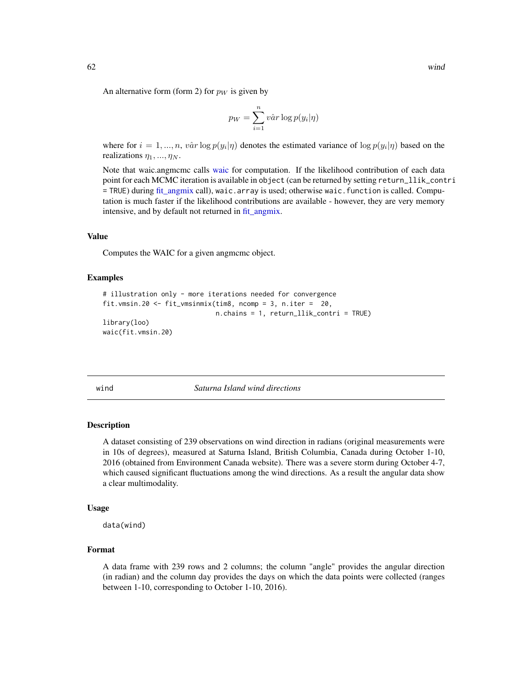<span id="page-61-0"></span>An alternative form (form 2) for  $p_W$  is given by

$$
p_W = \sum_{i=1}^{n} v \hat{a} r \log p(y_i | \eta)
$$

where for  $i = 1, ..., n$ ,  $v\hat{a}r \log p(y_i|\eta)$  denotes the estimated variance of  $\log p(y_i|\eta)$  based on the realizations  $\eta_1, \ldots, \eta_N$ .

Note that [waic](#page-0-0).angmcmc calls waic for computation. If the likelihood contribution of each data point for each MCMC iteration is available in object (can be returned by setting return\_llik\_contri = TRUE) during [fit\\_angmix](#page-17-1) call), waic.array is used; otherwise waic.function is called. Computation is much faster if the likelihood contributions are available - however, they are very memory intensive, and by default not returned in [fit\\_angmix.](#page-17-1)

#### Value

Computes the WAIC for a given angmcmc object.

#### Examples

```
# illustration only - more iterations needed for convergence
fit.vmsin.20 <- fit_vmsinmix(tim8, ncomp = 3, n.iter = 20,
                             n.chains = 1, return_llik_contri = TRUE)
library(loo)
waic(fit.vmsin.20)
```
wind *Saturna Island wind directions*

#### Description

A dataset consisting of 239 observations on wind direction in radians (original measurements were in 10s of degrees), measured at Saturna Island, British Columbia, Canada during October 1-10, 2016 (obtained from Environment Canada website). There was a severe storm during October 4-7, which caused significant fluctuations among the wind directions. As a result the angular data show a clear multimodality.

#### Usage

data(wind)

#### Format

A data frame with 239 rows and 2 columns; the column "angle" provides the angular direction (in radian) and the column day provides the days on which the data points were collected (ranges between 1-10, corresponding to October 1-10, 2016).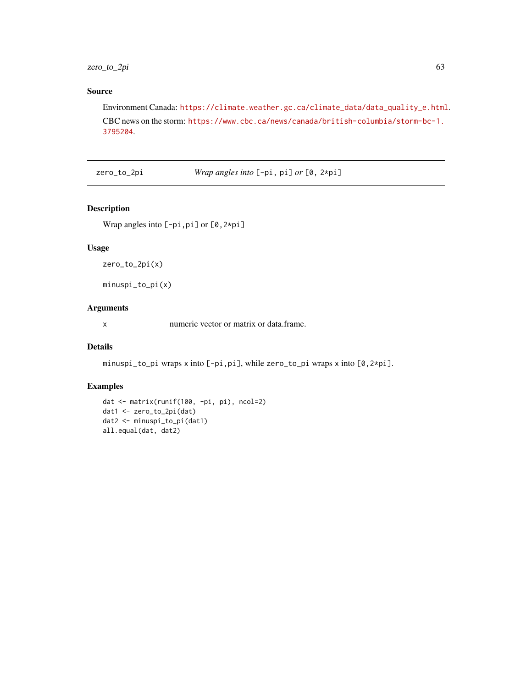<span id="page-62-0"></span>zero\_to\_2pi 63

## Source

Environment Canada: [https://climate.weather.gc.ca/climate\\_data/data\\_quality\\_e.html](https://climate.weather.gc.ca/climate_data/data_quality_e.html). CBC news on the storm: [https://www.cbc.ca/news/canada/british-columbia/storm-bc-1.](https://www.cbc.ca/news/canada/british-columbia/storm-bc-1.3795204) [3795204](https://www.cbc.ca/news/canada/british-columbia/storm-bc-1.3795204).

zero\_to\_2pi *Wrap angles into* [-pi, pi] *or* [0, 2\*pi]

#### Description

Wrap angles into [-pi,pi] or [0,2\*pi]

## Usage

zero\_to\_2pi(x)

minuspi\_to\_pi(x)

## Arguments

x numeric vector or matrix or data.frame.

## Details

minuspi\_to\_pi wraps x into [-pi,pi], while zero\_to\_pi wraps x into [0,2\*pi].

## Examples

```
dat <- matrix(runif(100, -pi, pi), ncol=2)
dat1 <- zero_to_2pi(dat)
dat2 <- minuspi_to_pi(dat1)
all.equal(dat, dat2)
```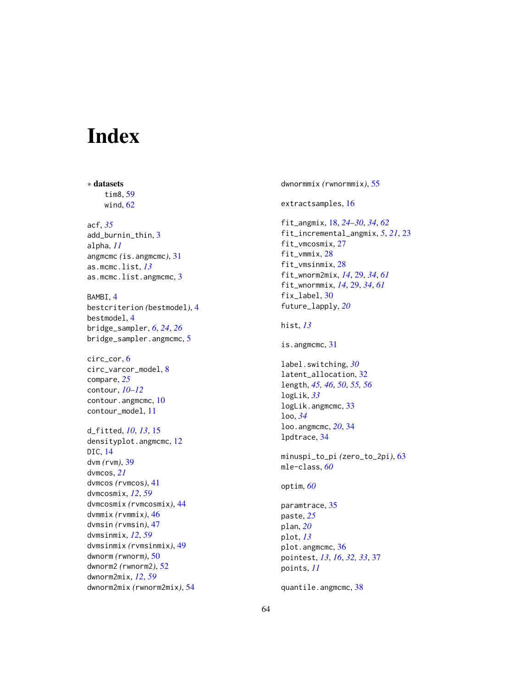# <span id="page-63-0"></span>Index

∗ datasets tim8, [59](#page-58-0) wind, [62](#page-61-0) acf, *[35](#page-34-0)* add\_burnin\_thin, [3](#page-2-0) alpha, *[11](#page-10-0)* angmcmc *(*is.angmcmc*)*, [31](#page-30-0) as.mcmc.list, *[13](#page-12-0)* as.mcmc.list.angmcmc, [3](#page-2-0) BAMBI, [4](#page-3-0) bestcriterion *(*bestmodel*)*, [4](#page-3-0) bestmodel, [4](#page-3-0) bridge\_sampler, *[6](#page-5-0)*, *[24](#page-23-0)*, *[26](#page-25-0)* bridge\_sampler.angmcmc, [5](#page-4-0) circ\_cor, [6](#page-5-0) circ\_varcor\_model, [8](#page-7-0) compare, *[25](#page-24-0)* contour, *[10](#page-9-0)[–12](#page-11-0)* contour.angmcmc, [10](#page-9-0) contour\_model, [11](#page-10-0) d\_fitted, *[10](#page-9-0)*, *[13](#page-12-0)*, [15](#page-14-0) densityplot.angmcmc, [12](#page-11-0) DIC, [14](#page-13-0) dvm *(*rvm*)*, [39](#page-38-0) dvmcos, *[21](#page-20-0)* dvmcos *(*rvmcos*)*, [41](#page-40-0) dvmcosmix, *[12](#page-11-0)*, *[59](#page-58-0)* dvmcosmix *(*rvmcosmix*)*, [44](#page-43-0) dvmmix *(*rvmmix*)*, [46](#page-45-0) dvmsin *(*rvmsin*)*, [47](#page-46-0) dvmsinmix, *[12](#page-11-0)*, *[59](#page-58-0)* dvmsinmix *(*rvmsinmix*)*, [49](#page-48-0) dwnorm *(*rwnorm*)*, [50](#page-49-0) dwnorm2 *(*rwnorm2*)*, [52](#page-51-0) dwnorm2mix, *[12](#page-11-0)*, *[59](#page-58-0)* dwnorm2mix *(*rwnorm2mix*)*, [54](#page-53-0)

dwnormmix *(*rwnormmix*)*, [55](#page-54-0) extractsamples, [16](#page-15-0) fit\_angmix, [18,](#page-17-0) *[24](#page-23-0)[–30](#page-29-0)*, *[34](#page-33-0)*, *[62](#page-61-0)* fit\_incremental\_angmix, *[5](#page-4-0)*, *[21](#page-20-0)*, [23](#page-22-0) fit\_vmcosmix, [27](#page-26-0) fit\_vmmix, [28](#page-27-0) fit\_vmsinmix, [28](#page-27-0) fit\_wnorm2mix, *[14](#page-13-0)*, [29,](#page-28-0) *[34](#page-33-0)*, *[61](#page-60-0)* fit\_wnormmix, *[14](#page-13-0)*, [29,](#page-28-0) *[34](#page-33-0)*, *[61](#page-60-0)* fix\_label, [30](#page-29-0) future\_lapply, *[20](#page-19-0)* hist, *[13](#page-12-0)* is.angmcmc, [31](#page-30-0) label.switching, *[30](#page-29-0)* latent\_allocation, [32](#page-31-0) length, *[45,](#page-44-0) [46](#page-45-0)*, *[50](#page-49-0)*, *[55,](#page-54-0) [56](#page-55-0)* logLik, *[33](#page-32-0)* logLik.angmcmc, [33](#page-32-0) loo, *[34](#page-33-0)* loo.angmcmc, *[20](#page-19-0)*, [34](#page-33-0) lpdtrace, [34](#page-33-0) minuspi\_to\_pi *(*zero\_to\_2pi*)*, [63](#page-62-0) mle-class, *[60](#page-59-0)* optim, *[60](#page-59-0)* paramtrace, [35](#page-34-0) paste, *[25](#page-24-0)* plan, *[20](#page-19-0)* plot, *[13](#page-12-0)* plot.angmcmc, [36](#page-35-0) pointest, *[13](#page-12-0)*, *[16](#page-15-0)*, *[32,](#page-31-0) [33](#page-32-0)*, [37](#page-36-0) points, *[11](#page-10-0)* quantile.angmcmc, [38](#page-37-0)